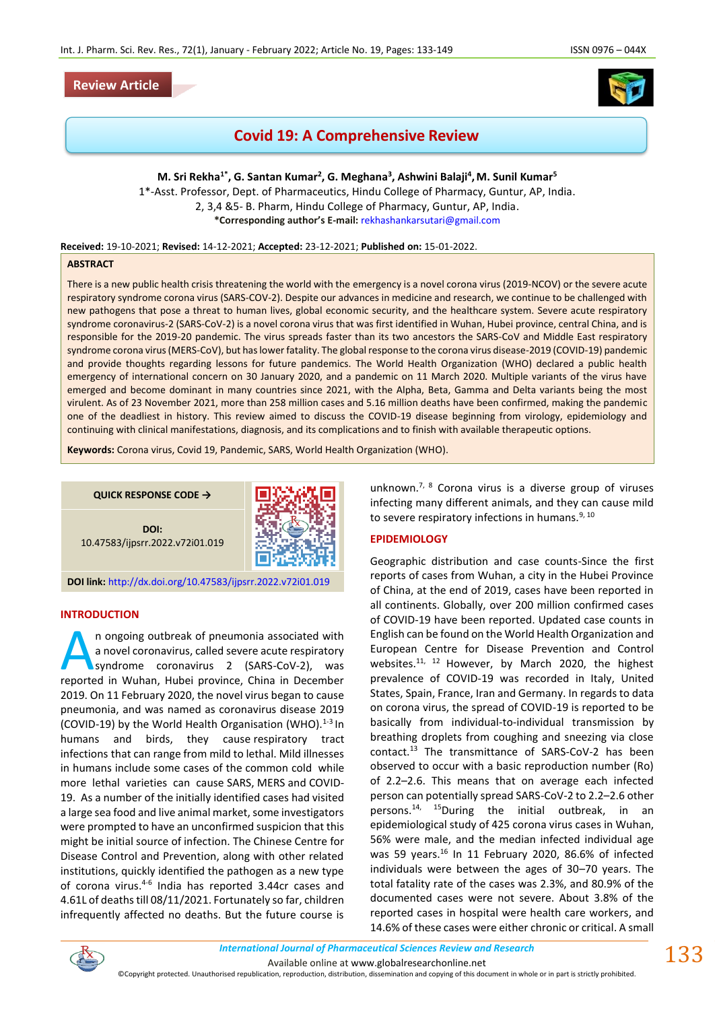## **Review Article**



# **Covid 19: A Comprehensive Review**

**M. Sri Rekha1\*, G. Santan Kumar<sup>2</sup> , G. Meghana<sup>3</sup> , Ashwini Balaji<sup>4</sup> ,M. Sunil Kumar<sup>5</sup>** 1\*-Asst. Professor, Dept. of Pharmaceutics, Hindu College of Pharmacy, Guntur, AP, India.

2, 3,4 &5- B. Pharm, Hindu College of Pharmacy, Guntur, AP, India. **\*Corresponding author's E-mail:** [rekhashankarsutari@gmail.com](mailto:rekhashankarsutari@gmail.com)

**Received:** 19-10-2021; **Revised:** 14-12-2021; **Accepted:** 23-12-2021; **Published on:** 15-01-2022.

#### **ABSTRACT**

There is a new public health crisis threatening the world with the emergency is a novel corona virus (2019-NCOV) or the severe acute respiratory syndrome corona virus (SARS-COV-2). Despite our advances in medicine and research, we continue to be challenged with new pathogens that pose a threat to human lives, global economic security, and the healthcare system. Severe acute respiratory syndrome coronavirus-2 (SARS-CoV-2) is a novel corona virus that was first identified in Wuhan, Hubei province, central China, and is responsible for the 2019-20 pandemic. The virus spreads faster than its two ancestors the SARS-CoV and Middle East respiratory syndrome corona virus (MERS-CoV), but has lower fatality. The global response to the corona virus disease-2019 (COVID-19) pandemic and provide thoughts regarding lessons for future pandemics. The World Health Organization (WHO) declared a public health emergency of international concern on 30 January 2020, and a pandemic on 11 March 2020. Multiple variants of the virus have emerged and become dominant in many countries since 2021, with the Alpha, Beta, Gamma and Delta variants being the most virulent. As of 23 November 2021, more than 258 million cases and 5.16 million deaths have been confirmed, making the pandemic one of the deadliest in history. This review aimed to discuss the COVID-19 disease beginning from virology, epidemiology and continuing with clinical manifestations, diagnosis, and its complications and to finish with available therapeutic options.

**Keywords:** Corona virus, Covid 19, Pandemic, SARS, World Health Organization (WHO).

**QUICK RESPONSE CODE →**

**DOI:** 10.47583/ijpsrr.2022.v72i01.019



**DOI link:** <http://dx.doi.org/10.47583/ijpsrr.2022.v72i01.019>

#### **INTRODUCTION**

n ongoing outbreak of pneumonia associated with a novel coronavirus, called severe acute respiratory syndrome coronavirus 2 (SARS-CoV-2), was In ongoing outbreak of pneumonia associated with<br>a novel coronavirus, called severe acute respiratory<br>syndrome coronavirus 2 (SARS-CoV-2), was<br>reported in Wuhan, Hubei province, China in December 2019. On 11 February 2020, the novel virus began to cause pneumonia, and was named as coronavirus disease 2019 (COVID-19) by the World Health Organisation (WHO). $1-3$  In humans and birds, they cause [respiratory tract](https://en.wikipedia.org/wiki/Respiratory_tract_infection)  [infections](https://en.wikipedia.org/wiki/Respiratory_tract_infection) that can range from mild to lethal. Mild illnesses in humans include some cases of the [common cold](https://en.wikipedia.org/wiki/Common_cold) while more lethal varieties can cause [SARS,](https://en.wikipedia.org/wiki/Severe_acute_respiratory_syndrome) [MERS](https://en.wikipedia.org/wiki/Middle_East_respiratory_syndrome) and [COVID-](https://en.wikipedia.org/wiki/COVID-19)[19.](https://en.wikipedia.org/wiki/COVID-19) As a number of the initially identified cases had visited a large sea food and live animal market, some investigators were prompted to have an unconfirmed suspicion that this might be initial source of infection. The Chinese Centre for Disease Control and Prevention, along with other related institutions, quickly identified the pathogen as a new type of corona virus.<sup>4-6</sup> India has reported 3.44cr cases and 4.61L of deaths till 08/11/2021. Fortunately so far, children infrequently affected no deaths. But the future course is

unknown.<sup>7, 8</sup> Corona virus is a diverse group of viruses infecting many different animals, and they can cause mild to severe respiratory infections in humans.<sup>9, 10</sup>

#### **EPIDEMIOLOGY**

Geographic distribution and case counts-Since the first reports of cases from Wuhan, a city in the Hubei Province of China, at the end of 2019, cases have been reported in all continents. Globally, over 200 million confirmed cases of COVID-19 have been reported. Updated case counts in English can be found on the World Health Organization and European Centre for Disease Prevention and Control websites.<sup>11, 12</sup> However, by March 2020, the highest prevalence of COVID-19 was recorded in Italy, United States, Spain, France, Iran and Germany. In regards to data on corona virus, the spread of COVID-19 is reported to be basically from individual-to-individual transmission by breathing droplets from coughing and sneezing via close contact.<sup>13</sup> The transmittance of SARS-CoV-2 has been observed to occur with a basic reproduction number (Ro) of 2.2–2.6. This means that on average each infected person can potentially spread SARS-CoV-2 to 2.2–2.6 other persons.14, 15During the initial outbreak, in an epidemiological study of 425 corona virus cases in Wuhan, 56% were male, and the median infected individual age was 59 years.<sup>16</sup> In 11 February 2020, 86.6% of infected individuals were between the ages of 30–70 years. The total fatality rate of the cases was 2.3%, and 80.9% of the documented cases were not severe. About 3.8% of the reported cases in hospital were health care workers, and 14.6% of these cases were either chronic or critical. A small



©Copyright protected. Unauthorised republication, reproduction, distribution, dissemination and copying of this document in whole or in part is strictly prohibited.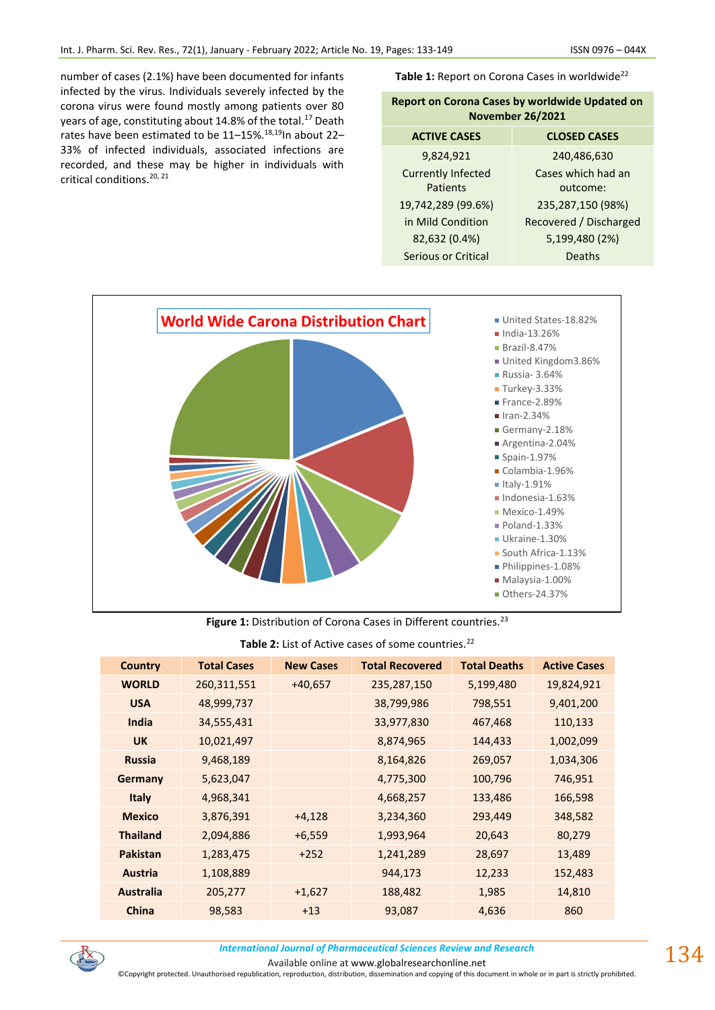number of cases (2.1%) have been documented for infants infected by the virus. Individuals severely infected by the corona virus were found mostly among patients over 80 years of age, constituting about 14.8% of the total.<sup>17</sup> Death rates have been estimated to be 11-15%.<sup>18,19</sup>In about 22-33% of infected individuals, associated infections are recorded, and these may be higher in individuals with critical conditions.<sup>20, 21</sup>

Table 1: Report on Corona Cases in worldwide<sup>22</sup>

| <b>Report on Corona Cases by worldwide Updated on</b><br><b>November 26/2021</b> |                        |  |  |
|----------------------------------------------------------------------------------|------------------------|--|--|
| <b>ACTIVE CASES</b>                                                              | <b>CLOSED CASES</b>    |  |  |
| 9,824,921                                                                        | 240,486,630            |  |  |
| <b>Currently Infected</b>                                                        | Cases which had an     |  |  |
| Patients                                                                         | outcome:               |  |  |
| 19,742,289 (99.6%)                                                               | 235,287,150 (98%)      |  |  |
| in Mild Condition                                                                | Recovered / Discharged |  |  |
| 82,632 (0.4%)                                                                    | 5,199,480 (2%)         |  |  |
| Serious or Critical                                                              | Deaths                 |  |  |



## Figure 1: Distribution of Corona Cases in Different countries.<sup>23</sup>

## Table 2: List of Active cases of some countries.<sup>22</sup>

| <b>Country</b>   | <b>Total Cases</b> | <b>New Cases</b> | <b>Total Recovered</b> | <b>Total Deaths</b> | <b>Active Cases</b> |
|------------------|--------------------|------------------|------------------------|---------------------|---------------------|
| <b>WORLD</b>     | 260,311,551        | $+40,657$        | 235,287,150            | 5,199,480           | 19,824,921          |
| <b>USA</b>       | 48,999,737         |                  | 38,799,986             | 798,551             | 9,401,200           |
| India            | 34,555,431         |                  | 33,977,830             | 467,468             | 110,133             |
| <b>UK</b>        | 10,021,497         |                  | 8,874,965              | 144,433             | 1,002,099           |
| <b>Russia</b>    | 9,468,189          |                  | 8,164,826              | 269,057             | 1,034,306           |
| Germany          | 5,623,047          |                  | 4,775,300              | 100,796             | 746,951             |
| <b>Italy</b>     | 4,968,341          |                  | 4,668,257              | 133,486             | 166,598             |
| <b>Mexico</b>    | 3,876,391          | $+4,128$         | 3,234,360              | 293,449             | 348,582             |
| <b>Thailand</b>  | 2,094,886          | $+6,559$         | 1,993,964              | 20,643              | 80,279              |
| <b>Pakistan</b>  | 1,283,475          | $+252$           | 1,241,289              | 28,697              | 13,489              |
| <b>Austria</b>   | 1,108,889          |                  | 944,173                | 12,233              | 152,483             |
| <b>Australia</b> | 205,277            | $+1,627$         | 188,482                | 1,985               | 14,810              |
| <b>China</b>     | 98,583             | $+13$            | 93,087                 | 4,636               | 860                 |



*International Journal of Pharmaceutical Sciences Review and Research International Journal of Pharmaceutical Sciences Review and Research*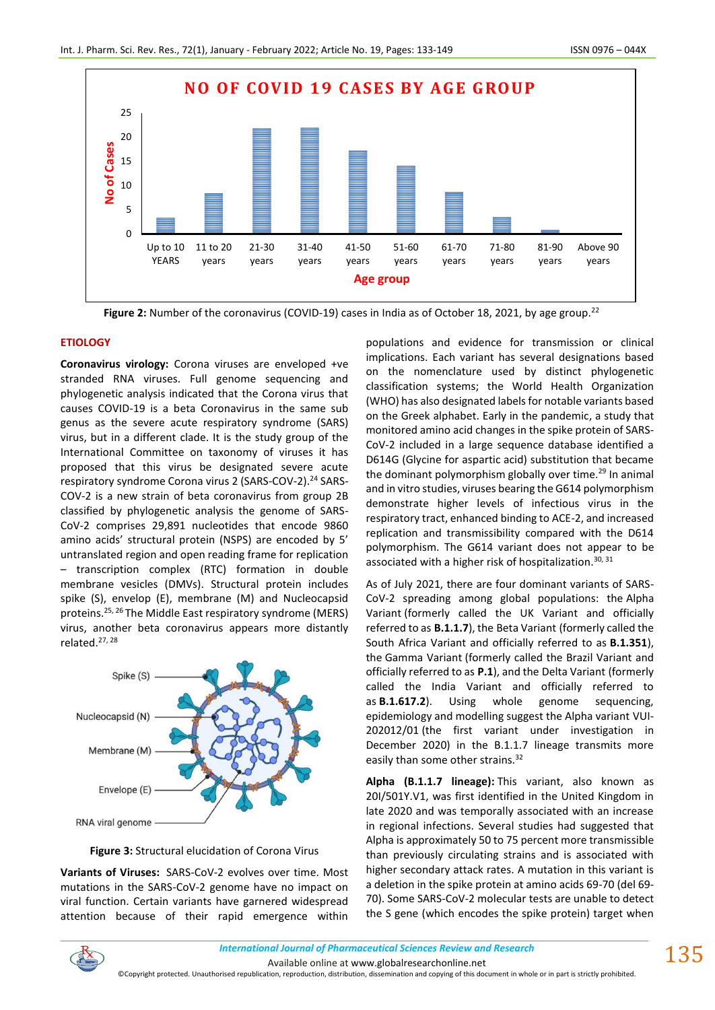

**Figure 2:** Number of the coronavirus (COVID-19) cases in India as of October 18, 2021, by age group.<sup>22</sup>

## **ETIOLOGY**

**Coronavirus virology:** Corona viruses are enveloped +ve stranded RNA viruses. Full genome sequencing and phylogenetic analysis indicated that the Corona virus that causes COVID-19 is a beta Coronavirus in the same sub genus as the severe acute respiratory syndrome (SARS) virus, but in a different clade. It is the study group of the International Committee on taxonomy of viruses it has proposed that this virus be designated severe acute respiratory syndrome Corona virus 2 (SARS-COV-2).<sup>24</sup> SARS-COV-2 is a new strain of beta coronavirus from group 2B classified by phylogenetic analysis the genome of SARS-CoV-2 comprises 29,891 nucleotides that encode 9860 amino acids' structural protein (NSPS) are encoded by 5' untranslated region and open reading frame for replication – transcription complex (RTC) formation in double membrane vesicles (DMVs). Structural protein includes spike (S), envelop (E), membrane (M) and Nucleocapsid proteins.25, 26 The Middle East respiratory syndrome (MERS) virus, another beta coronavirus appears more distantly related.27, 28



**Figure 3:** Structural elucidation of Corona Virus

**Variants of Viruses:** SARS-CoV-2 evolves over time. Most mutations in the SARS-CoV-2 genome have no impact on viral function. Certain variants have garnered widespread attention because of their rapid emergence within

populations and evidence for transmission or clinical implications. Each variant has several designations based on the nomenclature used by distinct phylogenetic classification systems; the World Health Organization (WHO) has also designated labels for notable variants based on the Greek alphabet. Early in the pandemic, a study that monitored amino acid changes in the spike protein of SARS-CoV-2 included in a large sequence database identified a D614G (Glycine for aspartic acid) substitution that became the dominant polymorphism globally over time.<sup>29</sup> In animal and in vitro studies, viruses bearing the G614 polymorphism demonstrate higher levels of infectious virus in the respiratory tract, enhanced binding to ACE-2, and increased replication and transmissibility compared with the D614 polymorphism. The G614 variant does not appear to be associated with a higher risk of hospitalization.  $30, 31$ 

As of July 2021, there are four dominant variants of SARS-CoV-2 spreading among global populations: the [Alpha](https://en.wikipedia.org/wiki/SARS-CoV-2_Alpha_variant)  [Variant](https://en.wikipedia.org/wiki/SARS-CoV-2_Alpha_variant) (formerly called the UK Variant and officially referred to as **B.1.1.7**), the [Beta Variant](https://en.wikipedia.org/wiki/SARS-CoV-2_Beta_variant) (formerly called the South Africa Variant and officially referred to as **B.1.351**), the [Gamma Variant](https://en.wikipedia.org/wiki/SARS-CoV-2_Gamma_variant) (formerly called the Brazil Variant and officially referred to as **P.1**), and the [Delta Variant](https://en.wikipedia.org/wiki/SARS-CoV-2_Delta_variant) (formerly called the India Variant and officially referred to as **B.1.617.2**). Using whole genome sequencing, epidemiology and modelling suggest the Alpha variant [VUI-](https://en.wikipedia.org/wiki/Lineage_B.1.1.7)[202012/01](https://en.wikipedia.org/wiki/Lineage_B.1.1.7) (the first variant under investigation in December 2020) in the B.1.1.7 lineage transmits more easily than some other strains.<sup>32</sup>

**Alpha (B.1.1.7 lineage):** This variant, also known as 20I/501Y.V1, was first identified in the United Kingdom in late 2020 and was temporally associated with an increase in regional infections. Several studies had suggested that Alpha is approximately 50 to 75 percent more transmissible than previously circulating strains and is associated with higher secondary attack rates. A mutation in this variant is a deletion in the spike protein at amino acids 69-70 (del 69- 70). Some SARS-CoV-2 molecular tests are unable to detect the S gene (which encodes the spike protein) target when

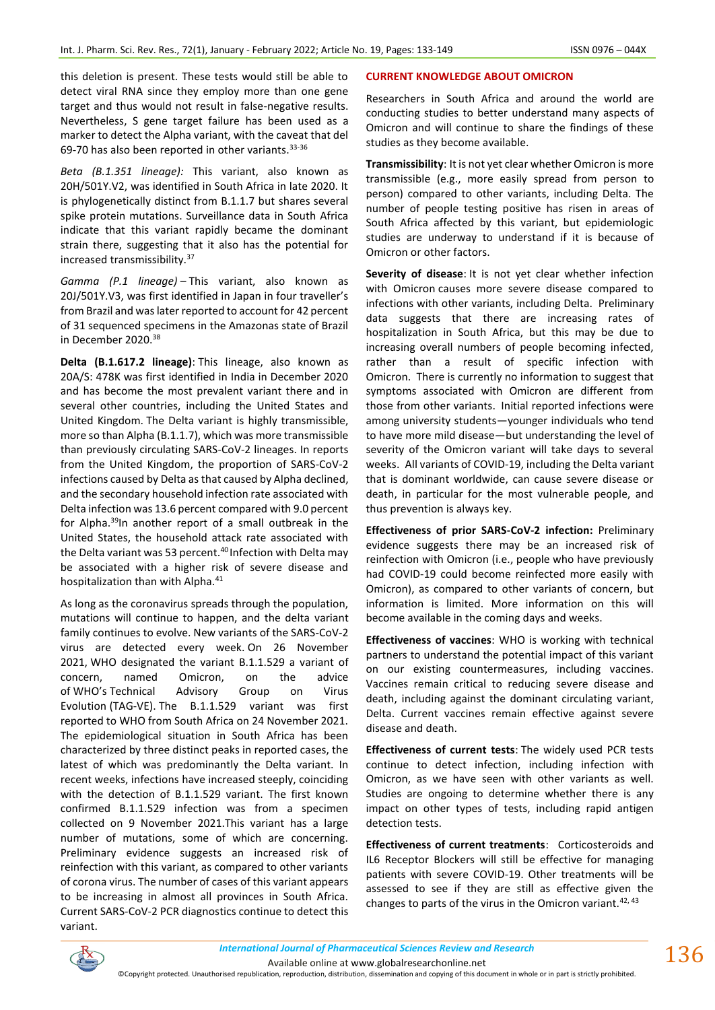this deletion is present. These tests would still be able to detect viral RNA since they employ more than one gene target and thus would not result in false-negative results. Nevertheless, S gene target failure has been used as a marker to detect the Alpha variant, with the caveat that del 69-70 has also been reported in other variants.33-36

*Beta (B.1.351 lineage):* This variant, also known as 20H/501Y.V2, was identified in South Africa in late 2020. It is phylogenetically distinct from B.1.1.7 but shares several spike protein mutations. Surveillance data in South Africa indicate that this variant rapidly became the dominant strain there, suggesting that it also has the potential for increased transmissibility.<sup>37</sup>

*Gamma (P.1 lineage)* – This variant, also known as 20J/501Y.V3, was first identified in Japan in four traveller's from Brazil and was later reported to account for 42 percent of 31 sequenced specimens in the Amazonas state of Brazil in December 2020.<sup>38</sup>

**Delta (B.1.617.2 lineage)**: This lineage, also known as 20A/S: 478K was first identified in India in December 2020 and has become the most prevalent variant there and in several other countries, including the United States and United Kingdom. The Delta variant is highly transmissible, more so than Alpha (B.1.1.7), which was more transmissible than previously circulating SARS-CoV-2 lineages. In reports from the United Kingdom, the proportion of SARS-CoV-2 infections caused by Delta as that caused by Alpha declined, and the secondary household infection rate associated with Delta infection was 13.6 percent compared with 9.0 percent for Alpha.<sup>39</sup>In another report of a small outbreak in the United States, the household attack rate associated with the Delta variant was 53 percent.<sup>40</sup> Infection with Delta may be associated with a higher risk of severe disease and hospitalization than with Alpha.<sup>41</sup>

As long as the coronavirus spreads through the population, mutations will continue to happen, and the delta variant family continues to evolve. New variants of the SARS-CoV-2 virus are detected every week. On 26 November 2021, WHO designated the variant B.1.1.529 a variant of concern, named Omicron, on the advice of WHO's [Technical Advisory Group on Virus](https://www.who.int/groups/technical-advisory-group-on-sars-cov-2-virus-evolution)  [Evolution](https://www.who.int/groups/technical-advisory-group-on-sars-cov-2-virus-evolution) (TAG-VE). The B.1.1.529 variant was first reported to WHO from South Africa on 24 November 2021. The epidemiological situation in South Africa has been characterized by three distinct peaks in reported cases, the latest of which was predominantly the Delta variant. In recent weeks, infections have increased steeply, coinciding with the detection of B.1.1.529 variant. The first known confirmed B.1.1.529 infection was from a specimen collected on 9 November 2021.This variant has a large number of mutations, some of which are concerning. Preliminary evidence suggests an increased risk of reinfection with this variant, as compared to other variants of corona virus. The number of cases of this variant appears to be increasing in almost all provinces in South Africa. Current SARS-CoV-2 PCR diagnostics continue to detect this variant.

## **CURRENT KNOWLEDGE ABOUT OMICRON**

Researchers in South Africa and around the world are conducting studies to better understand many aspects of Omicron and will continue to share the findings of these studies as they become available.

**Transmissibility**: It is not yet clear whether Omicron is more transmissible (e.g., more easily spread from person to person) compared to other variants, including Delta. The number of people testing positive has risen in areas of South Africa affected by this variant, but epidemiologic studies are underway to understand if it is because of Omicron or other factors.

**Severity of disease**: It is not yet clear whether infection with Omicron causes more severe disease compared to infections with other variants, including Delta. Preliminary data suggests that there are increasing rates of hospitalization in South Africa, but this may be due to increasing overall numbers of people becoming infected, rather than a result of specific infection with Omicron. There is currently no information to suggest that symptoms associated with Omicron are different from those from other variants. Initial reported infections were among university students—younger individuals who tend to have more mild disease—but understanding the level of severity of the Omicron variant will take days to several weeks. All variants of COVID-19, including the Delta variant that is dominant worldwide, can cause severe disease or death, in particular for the most vulnerable people, and thus prevention is always key.

**Effectiveness of prior SARS-CoV-2 infection:** Preliminary evidence suggests there may be an increased risk of reinfection with Omicron (i.e., people who have previously had COVID-19 could become reinfected more easily with Omicron), as compared to other variants of concern, but information is limited. More information on this will become available in the coming days and weeks.

**Effectiveness of vaccines**: WHO is working with technical partners to understand the potential impact of this variant on our existing countermeasures, including vaccines. Vaccines remain critical to reducing severe disease and death, including against the dominant circulating variant, Delta. Current vaccines remain effective against severe disease and death.

**Effectiveness of current tests**: The widely used PCR tests continue to detect infection, including infection with Omicron, as we have seen with other variants as well. Studies are ongoing to determine whether there is any impact on other types of tests, including rapid antigen detection tests.

**Effectiveness of current treatments**: Corticosteroids and IL6 Receptor Blockers will still be effective for managing patients with severe COVID-19. Other treatments will be assessed to see if they are still as effective given the changes to parts of the virus in the Omicron variant.  $42, 43$ 

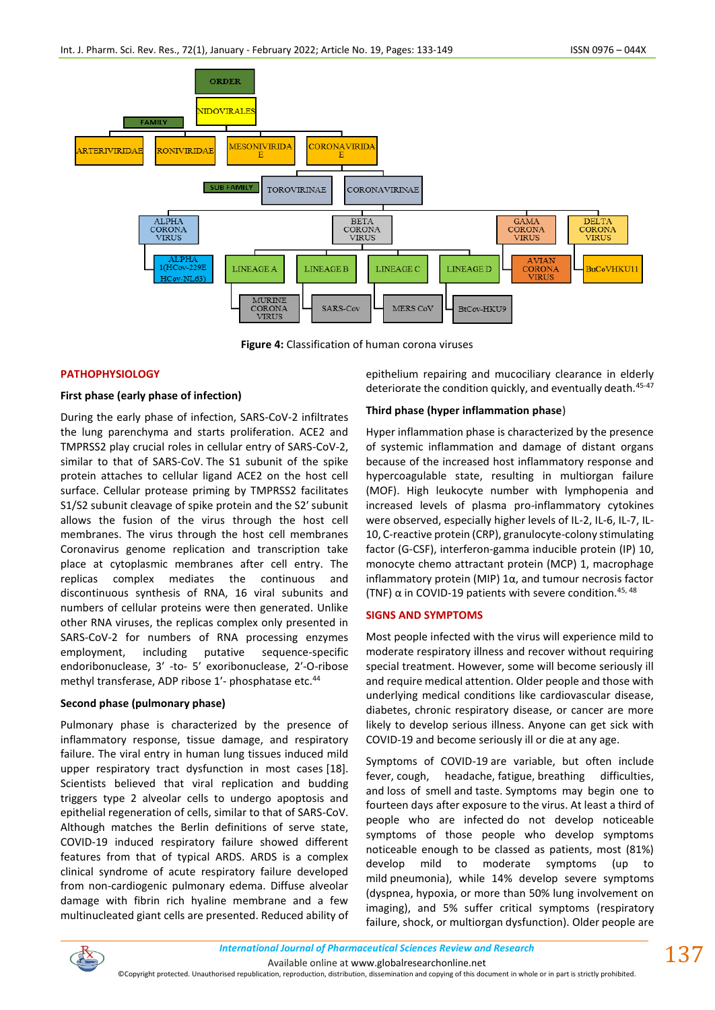

**Figure 4:** Classification of human corona viruses

## **PATHOPHYSIOLOGY**

## **First phase (early phase of infection)**

During the early phase of infection, SARS-CoV-2 infiltrates the lung parenchyma and starts proliferation. ACE2 and TMPRSS2 play crucial roles in cellular entry of SARS-CoV-2, similar to that of SARS-CoV. The S1 subunit of the spike protein attaches to cellular ligand ACE2 on the host cell surface. Cellular protease priming by TMPRSS2 facilitates S1/S2 subunit cleavage of spike protein and the S2ʹ subunit allows the fusion of the virus through the host cell membranes. The virus through the host cell membranes Coronavirus genome replication and transcription take place at cytoplasmic membranes after cell entry. The replicas complex mediates the continuous and discontinuous synthesis of RNA, 16 viral subunits and numbers of cellular proteins were then generated. Unlike other RNA viruses, the replicas complex only presented in SARS-CoV-2 for numbers of RNA processing enzymes employment, including putative sequence-specific endoribonuclease, 3ʹ -to- 5ʹ exoribonuclease, 2ʹ-O-ribose methyl transferase, ADP ribose 1'- phosphatase etc.<sup>44</sup>

## **Second phase (pulmonary phase)**

Pulmonary phase is characterized by the presence of inflammatory response, tissue damage, and respiratory failure. The viral entry in human lung tissues induced mild upper respiratory tract dysfunction in most cases [18]. Scientists believed that viral replication and budding triggers type 2 alveolar cells to undergo apoptosis and epithelial regeneration of cells, similar to that of SARS-CoV. Although matches the Berlin definitions of serve state, COVID-19 induced respiratory failure showed different features from that of typical ARDS. ARDS is a complex clinical syndrome of acute respiratory failure developed from non-cardiogenic pulmonary edema. Diffuse alveolar damage with fibrin rich hyaline membrane and a few multinucleated giant cells are presented. Reduced ability of epithelium repairing and mucociliary clearance in elderly deteriorate the condition quickly, and eventually death.<sup>45-47</sup>

## **Third phase (hyper inflammation phase**)

Hyper inflammation phase is characterized by the presence of systemic inflammation and damage of distant organs because of the increased host inflammatory response and hypercoagulable state, resulting in multiorgan failure (MOF). High leukocyte number with lymphopenia and increased levels of plasma pro-inflammatory cytokines were observed, especially higher levels of IL-2, IL-6, IL-7, IL-10, C-reactive protein (CRP), granulocyte-colony stimulating factor (G-CSF), interferon-gamma inducible protein (IP) 10, monocyte chemo attractant protein (MCP) 1, macrophage inflammatory protein (MIP) 1α, and tumour necrosis factor (TNF)  $\alpha$  in COVID-19 patients with severe condition.<sup>45, 48</sup>

#### **SIGNS AND SYMPTOMS**

Most people infected with the virus will experience mild to moderate respiratory illness and recover without requiring special treatment. However, some will become seriously ill and require medical attention. Older people and those with underlying medical conditions like cardiovascular disease, diabetes, chronic respiratory disease, or cancer are more likely to develop serious illness. Anyone can get sick with COVID-19 and become seriously ill or die at any age.

[Symptoms of COVID-19](https://en.wikipedia.org/wiki/Symptoms_of_COVID-19) are variable, but often include fever, cough, headache, fatigue, [breathing difficulties,](https://en.wikipedia.org/wiki/Breathing_difficulties) and [loss of smell](https://en.wikipedia.org/wiki/Anosmia) and [taste.](https://en.wikipedia.org/wiki/Ageusia) Symptoms may begin one to fourteen days [after exposure](https://en.wikipedia.org/wiki/Incubation_period) to the virus. At least a third of people who are infected [do not develop noticeable](https://en.wikipedia.org/wiki/Asymptomatic)  [symptoms](https://en.wikipedia.org/wiki/Asymptomatic) of those people who develop symptoms noticeable enough to be classed as patients, most (81%) develop mild to moderate symptoms (up to mild [pneumonia\)](https://en.wikipedia.org/wiki/Pneumonia), while 14% develop severe symptoms [\(dyspnea,](https://en.wikipedia.org/wiki/Dyspnea) [hypoxia,](https://en.wikipedia.org/wiki/Hypoxia_(medical)) or more than 50% lung involvement on imaging), and 5% suffer critical symptoms [\(respiratory](https://en.wikipedia.org/wiki/Respiratory_failure)  [failure,](https://en.wikipedia.org/wiki/Respiratory_failure) [shock,](https://en.wikipedia.org/wiki/Shock_(circulatory)) or [multiorgan dysfunction\)](https://en.wikipedia.org/wiki/Organ_dysfunction). [Older people](https://en.wikipedia.org/wiki/Older_people) are

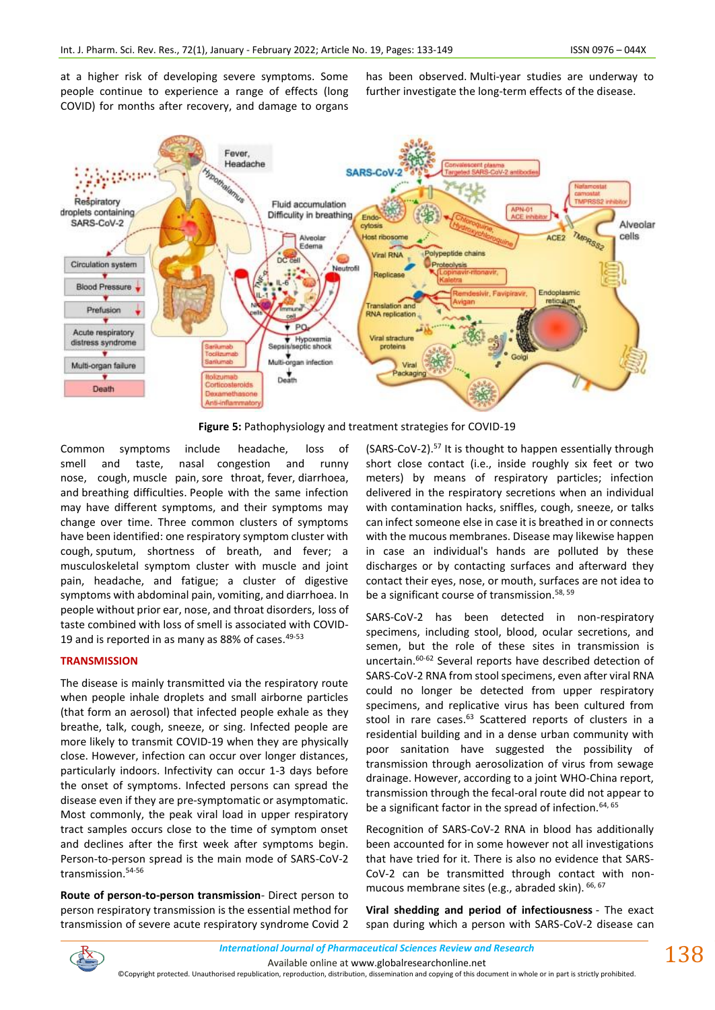at a higher risk of developing severe symptoms. Some people continue to experience a range of effects [\(long](https://en.wikipedia.org/wiki/Long_COVID)  [COVID\)](https://en.wikipedia.org/wiki/Long_COVID) for months after recovery, and damage to organs has been observed. Multi-year studies are underway to further investigate the long-term effects of the disease.



**Figure 5:** Pathophysiology and treatment strategies for COVID-19

Common symptoms include headache, loss of smell and taste, nasal congestion and runny nose, cough, [muscle pain,](https://en.wikipedia.org/wiki/Muscle_pain) sore throat, [fever,](https://en.wikipedia.org/wiki/Fever) diarrhoea, and [breathing difficulties.](https://en.wikipedia.org/wiki/Breathing_difficulties) People with the same infection may have different symptoms, and their symptoms may change over time. Three common clusters of symptoms have been identified: one respiratory symptom cluster with cough, [sputum,](https://en.wikipedia.org/wiki/Sputum) shortness of breath, and fever; a musculoskeletal symptom cluster with muscle and joint pain, headache, and fatigue; a cluster of digestive symptoms with abdominal pain, vomiting, and diarrhoea. In people without prior ear, nose, and throat disorders, [loss of](https://en.wikipedia.org/wiki/Hypogeusia)  [taste](https://en.wikipedia.org/wiki/Hypogeusia) combined with [loss of smell](https://en.wikipedia.org/wiki/Hyposmia) is associated with COVID-19 and is reported in as many as 88% of cases.<sup>49-53</sup>

#### **TRANSMISSION**

The disease is mainly transmitted via the respiratory route when people inhale droplets and small airborne particles (that form an aerosol) that infected people exhale as they breathe, talk, cough, sneeze, or sing. Infected people are more likely to transmit COVID-19 when they are physically close. However, infection can occur over longer distances, particularly indoors. Infectivity can occur 1-3 days before the onset of symptoms. Infected persons can spread the disease even if they are pre-symptomatic or asymptomatic. Most commonly, the peak viral load in upper respiratory tract samples occurs close to the time of symptom onset and declines after the first week after symptoms begin. Person-to-person spread is the main mode of SARS-CoV-2 transmission.54-56

**Route of person-to-person transmission**- Direct person to person respiratory transmission is the essential method for transmission of severe acute respiratory syndrome Covid 2 (SARS-CoV-2).<sup>57</sup> It is thought to happen essentially through short close contact (i.e., inside roughly six feet or two meters) by means of respiratory particles; infection delivered in the respiratory secretions when an individual with contamination hacks, sniffles, cough, sneeze, or talks can infect someone else in case it is breathed in or connects with the mucous membranes. Disease may likewise happen in case an individual's hands are polluted by these discharges or by contacting surfaces and afterward they contact their eyes, nose, or mouth, surfaces are not idea to be a significant course of transmission.<sup>58, 59</sup>

SARS-CoV-2 has been detected in non-respiratory specimens, including stool, blood, ocular secretions, and semen, but the role of these sites in transmission is uncertain.60-62 Several reports have described detection of SARS-CoV-2 RNA from stool specimens, even after viral RNA could no longer be detected from upper respiratory specimens, and replicative virus has been cultured from stool in rare cases.<sup>63</sup> Scattered reports of clusters in a residential building and in a dense urban community with poor sanitation have suggested the possibility of transmission through aerosolization of virus from sewage drainage. However, according to a joint WHO-China report, transmission through the fecal-oral route did not appear to be a significant factor in the spread of infection.<sup>64, 65</sup>

Recognition of SARS-CoV-2 RNA in blood has additionally been accounted for in some however not all investigations that have tried for it. There is also no evidence that SARS-CoV-2 can be transmitted through contact with nonmucous membrane sites (e.g., abraded skin).  $66, 67$ 

**Viral shedding and period of infectiousness** - The exact span during which a person with SARS-CoV-2 disease can

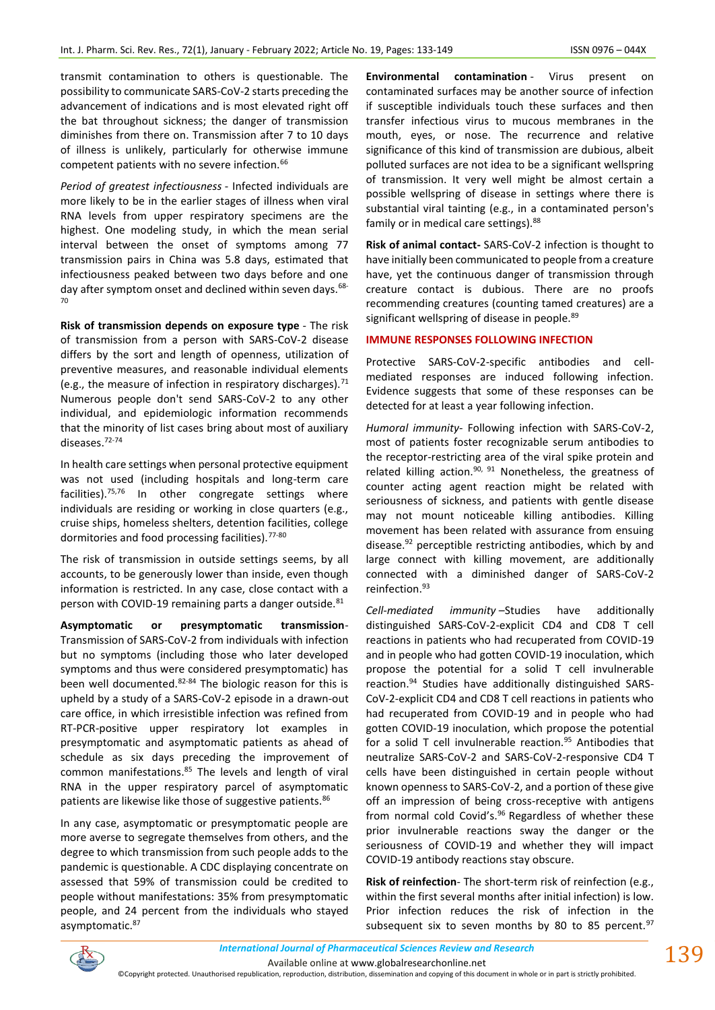transmit contamination to others is questionable. The possibility to communicate SARS-CoV-2 starts preceding the advancement of indications and is most elevated right off the bat throughout sickness; the danger of transmission diminishes from there on. Transmission after 7 to 10 days of illness is unlikely, particularly for otherwise immune competent patients with no severe infection.<sup>66</sup>

*Period of greatest infectiousness* - Infected individuals are more likely to be in the earlier stages of illness when viral RNA levels from upper respiratory specimens are the highest. One modeling study, in which the mean serial interval between the onset of symptoms among 77 transmission pairs in China was 5.8 days, estimated that infectiousness peaked between two days before and one day after symptom onset and declined within seven days.<sup>68-</sup> 70

**Risk of transmission depends on exposure type** - The risk of transmission from a person with SARS-CoV-2 disease differs by the sort and length of openness, utilization of preventive measures, and reasonable individual elements (e.g., the measure of infection in respiratory discharges).<sup>71</sup> Numerous people don't send SARS-CoV-2 to any other individual, and epidemiologic information recommends that the minority of list cases bring about most of auxiliary diseases.72-74

In health care settings when personal protective equipment was not used (including hospitals and long-term care facilities).75,76 In other congregate settings where individuals are residing or working in close quarters (e.g., cruise ships, homeless shelters, detention facilities, college dormitories and food processing facilities).<sup>77-80</sup>

The risk of transmission in outside settings seems, by all accounts, to be generously lower than inside, even though information is restricted. In any case, close contact with a person with COVID-19 remaining parts a danger outside.<sup>81</sup>

**Asymptomatic or presymptomatic transmission**-Transmission of SARS-CoV-2 from individuals with infection but no symptoms (including those who later developed symptoms and thus were considered presymptomatic) has been well documented.82-84 The biologic reason for this is upheld by a study of a SARS-CoV-2 episode in a drawn-out care office, in which irresistible infection was refined from RT-PCR-positive upper respiratory lot examples in presymptomatic and asymptomatic patients as ahead of schedule as six days preceding the improvement of common manifestations.<sup>85</sup> The levels and length of viral RNA in the upper respiratory parcel of asymptomatic patients are likewise like those of suggestive patients.<sup>86</sup>

In any case, asymptomatic or presymptomatic people are more averse to segregate themselves from others, and the degree to which transmission from such people adds to the pandemic is questionable. A CDC displaying concentrate on assessed that 59% of transmission could be credited to people without manifestations: 35% from presymptomatic people, and 24 percent from the individuals who stayed asymptomatic.<sup>87</sup>

**Environmental contamination** - Virus present on contaminated surfaces may be another source of infection if susceptible individuals touch these surfaces and then transfer infectious virus to mucous membranes in the mouth, eyes, or nose. The recurrence and relative significance of this kind of transmission are dubious, albeit polluted surfaces are not idea to be a significant wellspring of transmission. It very well might be almost certain a possible wellspring of disease in settings where there is substantial viral tainting (e.g., in a contaminated person's family or in medical care settings). <sup>88</sup>

**Risk of animal contact-** SARS-CoV-2 infection is thought to have initially been communicated to people from a creature have, yet the continuous danger of transmission through creature contact is dubious. There are no proofs recommending creatures (counting tamed creatures) are a significant wellspring of disease in people.<sup>89</sup>

## **IMMUNE RESPONSES FOLLOWING INFECTION**

Protective SARS-CoV-2-specific antibodies and cellmediated responses are induced following infection. Evidence suggests that some of these responses can be detected for at least a year following infection.

*Humoral immunity*- Following infection with SARS-CoV-2, most of patients foster recognizable serum antibodies to the receptor-restricting area of the viral spike protein and related killing action.<sup>90, 91</sup> Nonetheless, the greatness of counter acting agent reaction might be related with seriousness of sickness, and patients with gentle disease may not mount noticeable killing antibodies. Killing movement has been related with assurance from ensuing disease.<sup>92</sup> perceptible restricting antibodies, which by and large connect with killing movement, are additionally connected with a diminished danger of SARS-CoV-2 reinfection.<sup>93</sup>

*Cell-mediated immunity* –Studies have additionally distinguished SARS-CoV-2-explicit CD4 and CD8 T cell reactions in patients who had recuperated from COVID-19 and in people who had gotten COVID-19 inoculation, which propose the potential for a solid T cell invulnerable reaction.<sup>94</sup> Studies have additionally distinguished SARS-CoV-2-explicit CD4 and CD8 T cell reactions in patients who had recuperated from COVID-19 and in people who had gotten COVID-19 inoculation, which propose the potential for a solid T cell invulnerable reaction. $95$  Antibodies that neutralize SARS-CoV-2 and SARS-CoV-2-responsive CD4 T cells have been distinguished in certain people without known openness to SARS-CoV-2, and a portion of these give off an impression of being cross-receptive with antigens from normal cold Covid's.<sup>96</sup> Regardless of whether these prior invulnerable reactions sway the danger or the seriousness of COVID-19 and whether they will impact COVID-19 antibody reactions stay obscure.

**Risk of reinfection**- The short-term risk of reinfection (e.g., within the first several months after initial infection) is low. Prior infection reduces the risk of infection in the subsequent six to seven months by 80 to 85 percent.  $97$ 

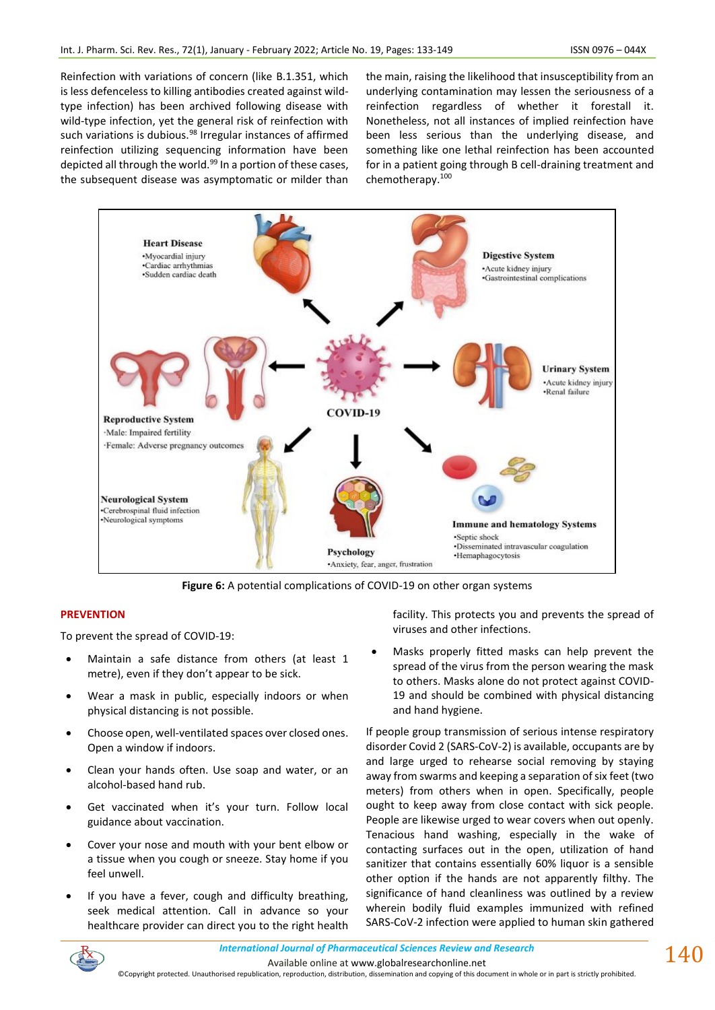Reinfection with variations of concern (like B.1.351, which is less defenceless to killing antibodies created against wildtype infection) has been archived following disease with wild-type infection, yet the general risk of reinfection with such variations is dubious.<sup>98</sup> Irregular instances of affirmed reinfection utilizing sequencing information have been depicted all through the world.<sup>99</sup> In a portion of these cases, the subsequent disease was asymptomatic or milder than the main, raising the likelihood that insusceptibility from an underlying contamination may lessen the seriousness of a reinfection regardless of whether it forestall it. Nonetheless, not all instances of implied reinfection have been less serious than the underlying disease, and something like one lethal reinfection has been accounted for in a patient going through B cell-draining treatment and chemotherapy.<sup>100</sup>



**Figure 6:** A potential complications of COVID-19 on other organ systems

## **PREVENTION**

To prevent the spread of COVID-19:

- Maintain a safe distance from others (at least 1 metre), even if they don't appear to be sick.
- Wear a mask in public, especially indoors or when physical distancing is not possible.
- Choose open, well-ventilated spaces over closed ones. Open a window if indoors.
- Clean your hands often. Use soap and water, or an alcohol-based hand rub.
- Get vaccinated when it's your turn. Follow local guidance about vaccination.
- Cover your nose and mouth with your bent elbow or a tissue when you cough or sneeze. Stay home if you feel unwell.
- If you have a fever, cough and difficulty breathing, seek medical attention. Call in advance so your healthcare provider can direct you to the right health

facility. This protects you and prevents the spread of viruses and other infections.

Masks properly fitted masks can help prevent the spread of the virus from the person wearing the mask to others. Masks alone do not protect against COVID-19 and should be combined with physical distancing and hand hygiene.

If people group transmission of serious intense respiratory disorder Covid 2 (SARS-CoV-2) is available, occupants are by and large urged to rehearse social removing by staying away from swarms and keeping a separation of six feet (two meters) from others when in open. Specifically, people ought to keep away from close contact with sick people. People are likewise urged to wear covers when out openly. Tenacious hand washing, especially in the wake of contacting surfaces out in the open, utilization of hand sanitizer that contains essentially 60% liquor is a sensible other option if the hands are not apparently filthy. The significance of hand cleanliness was outlined by a review wherein bodily fluid examples immunized with refined SARS-CoV-2 infection were applied to human skin gathered

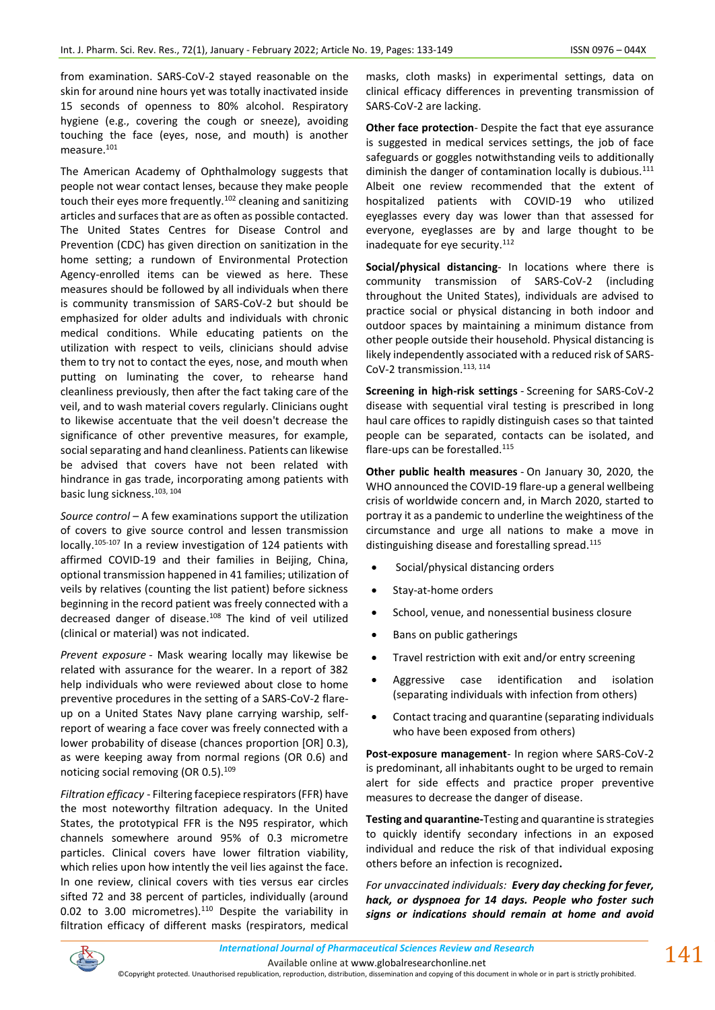from examination. SARS-CoV-2 stayed reasonable on the skin for around nine hours yet was totally inactivated inside 15 seconds of openness to 80% alcohol. Respiratory hygiene (e.g., covering the cough or sneeze), avoiding touching the face (eyes, nose, and mouth) is another measure.<sup>101</sup>

The American Academy of Ophthalmology suggests that people not wear contact lenses, because they make people touch their eyes more frequently.<sup>102</sup> cleaning and sanitizing articles and surfaces that are as often as possible contacted. The United States Centres for Disease Control and Prevention (CDC) has given direction on sanitization in the home setting; a rundown of Environmental Protection Agency-enrolled items can be viewed as here. These measures should be followed by all individuals when there is community transmission of SARS-CoV-2 but should be emphasized for older adults and individuals with chronic medical conditions. While educating patients on the utilization with respect to veils, clinicians should advise them to try not to contact the eyes, nose, and mouth when putting on luminating the cover, to rehearse hand cleanliness previously, then after the fact taking care of the veil, and to wash material covers regularly. Clinicians ought to likewise accentuate that the veil doesn't decrease the significance of other preventive measures, for example, social separating and hand cleanliness. Patients can likewise be advised that covers have not been related with hindrance in gas trade, incorporating among patients with basic lung sickness.103, 104

*Source control* – A few examinations support the utilization of covers to give source control and lessen transmission locally.105-107 In a review investigation of 124 patients with affirmed COVID-19 and their families in Beijing, China, optional transmission happened in 41 families; utilization of veils by relatives (counting the list patient) before sickness beginning in the record patient was freely connected with a decreased danger of disease.<sup>108</sup> The kind of veil utilized (clinical or material) was not indicated.

*Prevent exposure* - Mask wearing locally may likewise be related with assurance for the wearer. In a report of 382 help individuals who were reviewed about close to home preventive procedures in the setting of a SARS-CoV-2 flareup on a United States Navy plane carrying warship, selfreport of wearing a face cover was freely connected with a lower probability of disease (chances proportion [OR] 0.3), as were keeping away from normal regions (OR 0.6) and noticing social removing (OR 0.5).<sup>109</sup>

*Filtration efficacy* - Filtering facepiece respirators (FFR) have the most noteworthy filtration adequacy. In the United States, the prototypical FFR is the N95 respirator, which channels somewhere around 95% of 0.3 micrometre particles. Clinical covers have lower filtration viability, which relies upon how intently the veil lies against the face. In one review, clinical covers with ties versus ear circles sifted 72 and 38 percent of particles, individually (around 0.02 to 3.00 micrometres). $110$  Despite the variability in filtration efficacy of different masks (respirators, medical masks, cloth masks) in experimental settings, data on clinical efficacy differences in preventing transmission of SARS-CoV-2 are lacking.

**Other face protection**- Despite the fact that eye assurance is suggested in medical services settings, the job of face safeguards or goggles notwithstanding veils to additionally diminish the danger of contamination locally is dubious. $111$ Albeit one review recommended that the extent of hospitalized patients with COVID-19 who utilized eyeglasses every day was lower than that assessed for everyone, eyeglasses are by and large thought to be inadequate for eye security.<sup>112</sup>

**Social/physical distancing**- In locations where there is community transmission of SARS-CoV-2 (including throughout the United States), individuals are advised to practice social or physical distancing in both indoor and outdoor spaces by maintaining a minimum distance from other people outside their household. Physical distancing is likely independently associated with a reduced risk of SARS-CoV-2 transmission.<sup>113, 114</sup>

**Screening in high-risk settings** - Screening for SARS-CoV-2 disease with sequential viral testing is prescribed in long haul care offices to rapidly distinguish cases so that tainted people can be separated, contacts can be isolated, and flare-ups can be forestalled.<sup>115</sup>

**Other public health measures** - On January 30, 2020, the WHO announced the COVID-19 flare-up a general wellbeing crisis of worldwide concern and, in March 2020, started to portray it as a pandemic to underline the weightiness of the circumstance and urge all nations to make a move in distinguishing disease and forestalling spread.<sup>115</sup>

- Social/physical distancing orders
- Stay-at-home orders
- School, venue, and nonessential business closure
- Bans on public gatherings
- Travel restriction with exit and/or entry screening
- Aggressive case identification and isolation (separating individuals with infection from others)
- Contact tracing and quarantine (separating individuals who have been exposed from others)

**Post-exposure management**- In region where SARS-CoV-2 is predominant, all inhabitants ought to be urged to remain alert for side effects and practice proper preventive measures to decrease the danger of disease.

**Testing and quarantine-**Testing and quarantine is strategies to quickly identify secondary infections in an exposed individual and reduce the risk of that individual exposing others before an infection is recognized**.**

*For unvaccinated individuals: Every day checking for fever, hack, or dyspnoea for 14 days. People who foster such signs or indications should remain at home and avoid* 

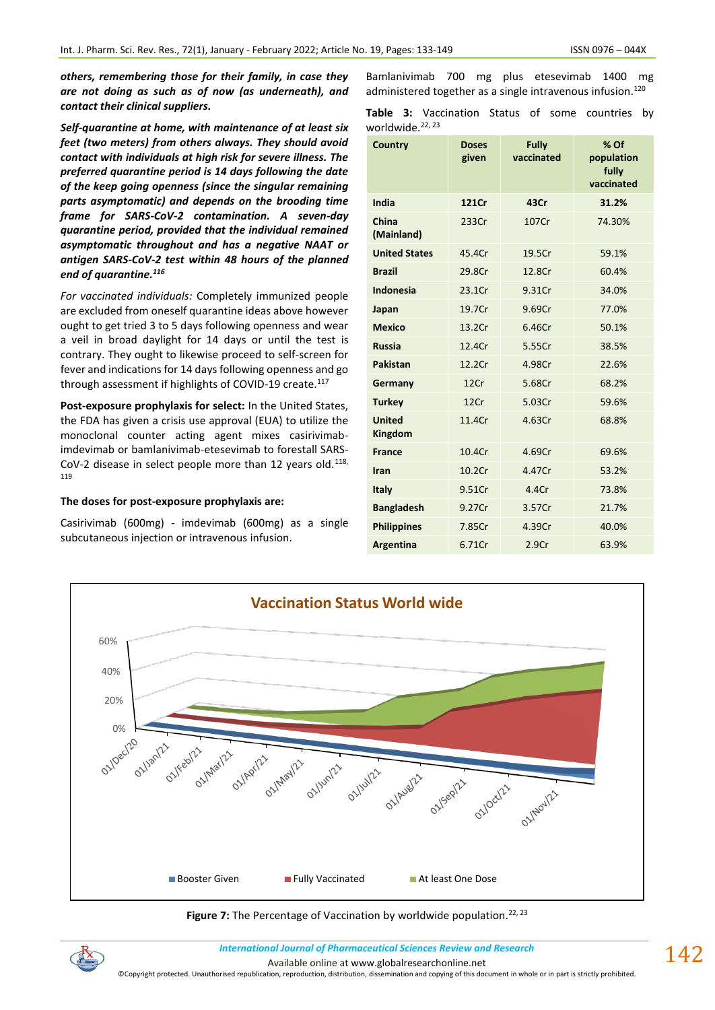*others, remembering those for their family, in case they are not doing as such as of now (as underneath), and contact their clinical suppliers.*

*Self-quarantine at home, with maintenance of at least six feet (two meters) from others always. They should avoid contact with individuals at high risk for severe illness. The preferred quarantine period is 14 days following the date of the keep going openness (since the singular remaining parts asymptomatic) and depends on the brooding time frame for SARS-CoV-2 contamination. A seven-day quarantine period, provided that the individual remained asymptomatic throughout and has a negative NAAT or antigen SARS-CoV-2 test within 48 hours of the planned end of quarantine. 116*

*For vaccinated individuals:* Completely immunized people are excluded from oneself quarantine ideas above however ought to get tried 3 to 5 days following openness and wear a veil in broad daylight for 14 days or until the test is contrary. They ought to likewise proceed to self-screen for fever and indications for 14 days following openness and go through assessment if highlights of COVID-19 create.<sup>117</sup>

**Post-exposure prophylaxis for select:** In the United States, the FDA has given a crisis use approval (EUA) to utilize the monoclonal counter acting agent mixes casirivimabimdevimab or bamlanivimab-etesevimab to forestall SARS-CoV-2 disease in select people more than 12 years old. $118$ , 119

#### **The doses for post-exposure prophylaxis are:**

Casirivimab (600mg) - imdevimab (600mg) as a single subcutaneous injection or intravenous infusion.

| Bamlanivimab 700 mg plus etesevimab 1400 mg                            |  |  |  |
|------------------------------------------------------------------------|--|--|--|
| administered together as a single intravenous infusion. <sup>120</sup> |  |  |  |

**Table 3:** Vaccination Status of some countries by worldwide.<sup>22, 23</sup>

| Country                  | <b>Doses</b><br>given | <b>Fully</b><br>vaccinated | $%$ Of<br>population<br>fully<br>vaccinated |
|--------------------------|-----------------------|----------------------------|---------------------------------------------|
| India                    | 121Cr                 | 43Cr                       | 31.2%                                       |
| China<br>(Mainland)      | 233Cr                 | 107Cr                      | 74.30%                                      |
| <b>United States</b>     | 45.4Cr                | 19.5Cr                     | 59.1%                                       |
| <b>Brazil</b>            | 29.8Cr                | 12.8Cr                     | 60.4%                                       |
| <b>Indonesia</b>         | 23.1Cr                | 9.31Cr                     | 34.0%                                       |
| Japan                    | 19.7Cr                | 9.69Cr                     | 77.0%                                       |
| <b>Mexico</b>            | 13.2Cr                | 6.46Cr                     | 50.1%                                       |
| <b>Russia</b>            | 12.4Cr                | 5.55Cr                     | 38.5%                                       |
| <b>Pakistan</b>          | 12.2Cr                | 4.98Cr                     | 22.6%                                       |
| Germany                  | 12Cr                  | 5.68Cr                     | 68.2%                                       |
| <b>Turkey</b>            | 12Cr                  | 5.03Cr                     | 59.6%                                       |
| <b>United</b><br>Kingdom | 11.4Cr                | 4.63Cr                     | 68.8%                                       |
| <b>France</b>            | 10.4Cr                | 4.69Cr                     | 69.6%                                       |
| Iran                     | 10.2Cr                | 4.47Cr                     | 53.2%                                       |
| Italy                    | 9.51Cr                | 4.4Cr                      | 73.8%                                       |
| <b>Bangladesh</b>        | 9.27Cr                | 3.57Cr                     | 21.7%                                       |
| <b>Philippines</b>       | 7.85Cr                | 4.39Cr                     | 40.0%                                       |
| Argentina                | 6.71Cr                | 2.9Cr                      | 63.9%                                       |



Figure 7: The Percentage of Vaccination by worldwide population.<sup>22, 23</sup>



*International Journal of Pharmaceutical Sciences Review and Research International Journal of Pharmaceutical Sciences Review and Research* Available online a[t www.globalresearchonline.net](http://www.globalresearchonline.net/)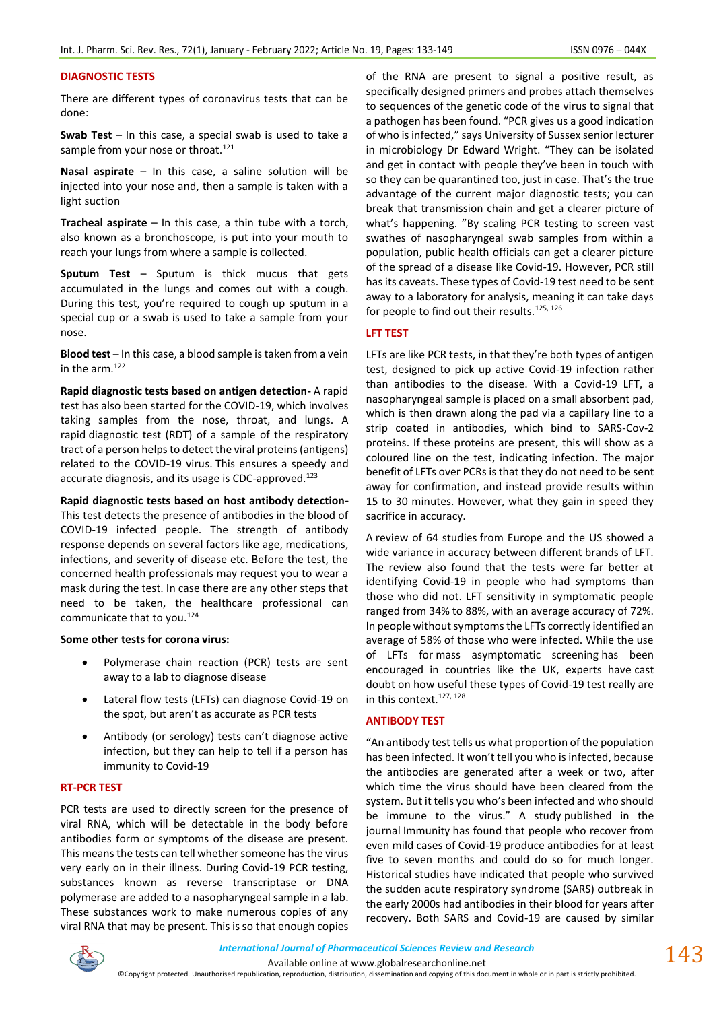## **DIAGNOSTIC TESTS**

There are different types of coronavirus tests that can be done:

**Swab Test** – In this case, a special swab is used to take a sample from your nose or throat.<sup>121</sup>

**Nasal aspirate** – In this case, a saline solution will be injected into your nose and, then a sample is taken with a light suction

**Tracheal aspirate** – In this case, a thin tube with a torch, also known as a bronchoscope, is put into your mouth to reach your lungs from where a sample is collected.

**Sputum Test** – Sputum is thick mucus that gets accumulated in the lungs and comes out with a cough. During this test, you're required to cough up sputum in a special cup or a swab is used to take a sample from your nose.

**Blood test** – In this case, a blood sample is taken from a vein in the arm.<sup>122</sup>

**Rapid diagnostic tests based on antigen detection-** A rapid test has also been started for the COVID-19, which involves taking samples from the nose, throat, and lungs. A rapid diagnostic test (RDT) of a sample of the respiratory tract of a person helps to detect the viral proteins (antigens) related to the COVID-19 virus. This ensures a speedy and accurate diagnosis, and its usage is CDC-approved.<sup>123</sup>

**Rapid diagnostic tests based on host antibody detection-**This test detects the presence of antibodies in the blood of COVID-19 infected people. The strength of antibody response depends on several factors like age, medications, infections, and severity of disease etc. Before the test, the concerned health professionals may request you to wear a mask during the test. In case there are any other steps that need to be taken, the healthcare professional can communicate that to you.<sup>124</sup>

#### **Some other tests for corona virus:**

- Polymerase chain reaction (PCR) tests are sent away to a lab to diagnose disease
- Lateral flow tests (LFTs) can diagnose Covid-19 on the spot, but aren't as accurate as PCR tests
- Antibody (or serology) tests can't diagnose active infection, but they can help to tell if a person has immunity to Covid-19

#### **RT-PCR TEST**

PCR tests are used to directly screen for the presence of viral RNA, which will be detectable in the body before antibodies form or symptoms of the disease are present. This means the tests can tell whether someone has the virus very early on in their illness. During Covid-19 PCR testing, substances known as reverse transcriptase or DNA polymerase are added to a nasopharyngeal sample in a lab. These substances work to make numerous copies of any viral RNA that may be present. This is so that enough copies

of the RNA are present to signal a positive result, as specifically designed primers and probes attach themselves to sequences of the genetic code of the virus to signal that a pathogen has been found. "PCR gives us a good indication of who is infected," says University of Sussex senior lecturer in microbiology Dr Edward Wright. "They can be isolated and get in contact with people they've been in touch with so they can be quarantined too, just in case. That's the true advantage of the current major diagnostic tests; you can break that transmission chain and get a clearer picture of what's happening. "By scaling PCR testing to screen vast swathes of nasopharyngeal swab samples from within a population, public health officials can get a clearer picture of the spread of a disease like Covid-19. However, PCR still has its caveats. These types of Covid-19 test need to be sent away to a laboratory for analysis, meaning it can take days for people to find out their results.<sup>125, 126</sup>

## **LFT TEST**

LFTs are like PCR tests, in that they're both types of antigen test, designed to pick up active Covid-19 infection rather than antibodies to the disease. With a Covid-19 LFT, a nasopharyngeal sample is placed on a small absorbent pad, which is then drawn along the pad via a capillary line to a strip coated in antibodies, which bind to SARS-Cov-2 proteins. If these proteins are present, this will show as a coloured line on the test, indicating infection. The major benefit of LFTs over PCRs is that they do not need to be sent away for confirmation, and instead provide results within 15 to 30 minutes. However, what they gain in speed they sacrifice in accuracy.

A [review of 64 studies](https://www.bmj.com/content/372/bmj.n823#:~:text=In%20uninfected%20people%20the%20tests,have%20yet%20to%20be%20published) from Europe and the US showed a wide variance in accuracy between different brands of LFT. The review also found that the tests were far better at identifying Covid-19 in people who had symptoms than those who did not. LFT sensitivity in symptomatic people ranged from 34% to 88%, with an average accuracy of 72%. In people without symptoms the LFTs correctly identified an average of 58% of those who were infected. While the use of LFTs for [mass asymptomatic screening](https://www.medicaldevice-network.com/news/england-lft/) has been encouraged in countries like the UK, experts have [cast](https://www.medicaldevice-network.com/news/mass-testing-covid-19/)  [doubt](https://www.medicaldevice-network.com/news/mass-testing-covid-19/) on how useful these types of Covid-19 test really are in this context.<sup>127, 128</sup>

#### **ANTIBODY TEST**

"An antibody test tells us what proportion of the population has been infected. It won't tell you who is infected, because the antibodies are generated after a week or two, after which time the virus should have been cleared from the system. But it tells you who's been infected and who should be immune to the virus." A study [published in the](https://www.cell.com/immunity/fulltext/S1074-7613(20)30445-3)  journal [Immunity](https://www.cell.com/immunity/fulltext/S1074-7613(20)30445-3) has found that people who recover from even mild cases of Covid-19 produce antibodies for at least five to seven months and could do so for much longer. Historical studies have indicated that people who survived the sudden acute respiratory syndrome (SARS) outbreak in the early 2000s had antibodies in their blood for years after recovery. Both SARS and Covid-19 are caused by similar

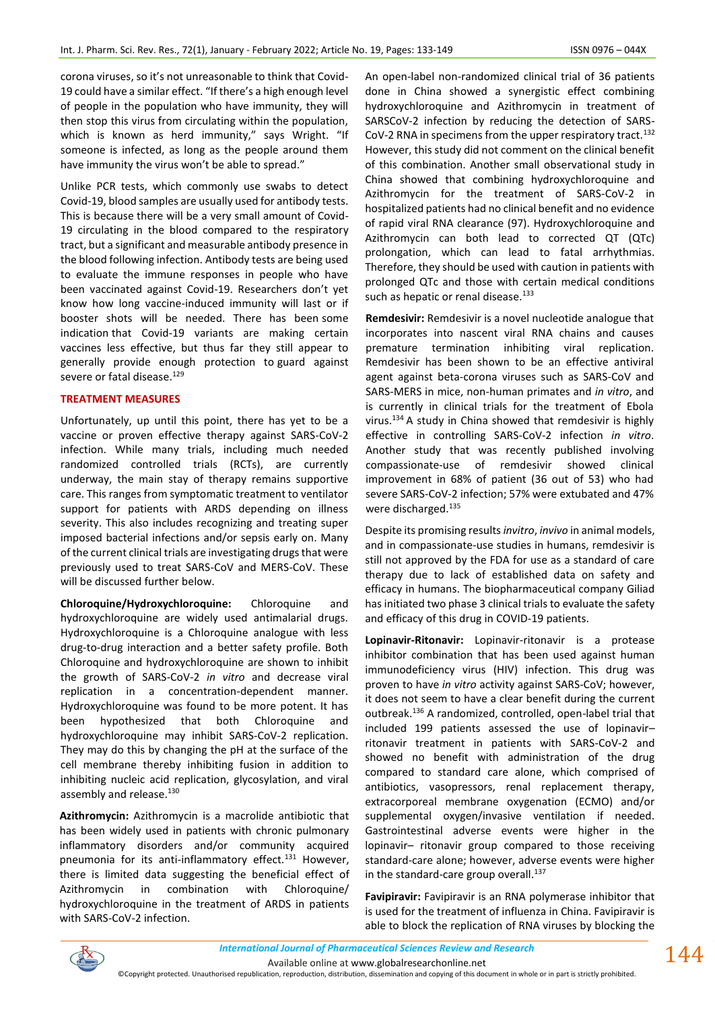corona viruses, so it's not unreasonable to think that Covid-19 could have a similar effect. "If there's a high enough level of people in the population who have immunity, they will then stop this virus from circulating within the population, which is known as herd immunity," says Wright. "If someone is infected, as long as the people around them have immunity the virus won't be able to spread."

Unlike PCR tests, which commonly use swabs to detect Covid-19, blood samples are usually used for antibody tests. This is because there will be a very small amount of Covid-19 circulating in the blood compared to the respiratory tract, but a significant and measurable antibody presence in the blood following infection. Antibody tests are being used to evaluate the immune responses in people who have been vaccinated against Covid-19. Researchers don't yet know how long vaccine-induced immunity will last or if booster shots will be needed. There has been [some](https://www.pharmaceutical-technology.com/comment/covid-19-vaccine-effectiveness-affected-by-variants/)  [indication](https://www.pharmaceutical-technology.com/comment/covid-19-vaccine-effectiveness-affected-by-variants/) that Covid-19 variants are making certain vaccines less effective, but thus far they still appear to generally provide enough protection to [guard against](https://www.statnews.com/2021/05/13/vaccines-work-variants-complicated/?utm_source=STAT+Newsletters&utm_campaign=a47d6e56fd-MR_COPY_02&utm_medium=email&utm_term=0_8cab1d7961-a47d6e56fd-151685709)  [severe or fatal disease.](https://www.statnews.com/2021/05/13/vaccines-work-variants-complicated/?utm_source=STAT+Newsletters&utm_campaign=a47d6e56fd-MR_COPY_02&utm_medium=email&utm_term=0_8cab1d7961-a47d6e56fd-151685709) 129

## **TREATMENT MEASURES**

Unfortunately, up until this point, there has yet to be a vaccine or proven effective therapy against SARS-CoV-2 infection. While many trials, including much needed randomized controlled trials (RCTs), are currently underway, the main stay of therapy remains supportive care. This ranges from symptomatic treatment to ventilator support for patients with ARDS depending on illness severity. This also includes recognizing and treating super imposed bacterial infections and/or sepsis early on. Many of the current clinical trials are investigating drugs that were previously used to treat SARS-CoV and MERS-CoV. These will be discussed further below.

**Chloroquine/Hydroxychloroquine:** Chloroquine and hydroxychloroquine are widely used antimalarial drugs. Hydroxychloroquine is a Chloroquine analogue with less drug-to-drug interaction and a better safety profile. Both Chloroquine and hydroxychloroquine are shown to inhibit the growth of SARS-CoV-2 *in vitro* and decrease viral replication in a concentration-dependent manner. Hydroxychloroquine was found to be more potent. It has been hypothesized that both Chloroquine and hydroxychloroquine may inhibit SARS-CoV-2 replication. They may do this by changing the pH at the surface of the cell membrane thereby inhibiting fusion in addition to inhibiting nucleic acid replication, glycosylation, and viral assembly and release.<sup>130</sup>

**Azithromycin:** Azithromycin is a macrolide antibiotic that has been widely used in patients with chronic pulmonary inflammatory disorders and/or community acquired pneumonia for its anti-inflammatory effect.<sup>131</sup> However, there is limited data suggesting the beneficial effect of Azithromycin in combination with Chloroquine/ hydroxychloroquine in the treatment of ARDS in patients with SARS-CoV-2 infection.

An open-label non-randomized clinical trial of 36 patients done in China showed a synergistic effect combining hydroxychloroquine and Azithromycin in treatment of SARSCoV-2 infection by reducing the detection of SARS-CoV-2 RNA in specimens from the upper respiratory tract.<sup>132</sup> However, this study did not comment on the clinical benefit of this combination. Another small observational study in China showed that combining hydroxychloroquine and Azithromycin for the treatment of SARS-CoV-2 in hospitalized patients had no clinical benefit and no evidence of rapid viral RNA clearance (97). Hydroxychloroquine and Azithromycin can both lead to corrected QT (QTc) prolongation, which can lead to fatal arrhythmias. Therefore, they should be used with caution in patients with prolonged QTc and those with certain medical conditions such as hepatic or renal disease.<sup>133</sup>

**Remdesivir:** Remdesivir is a novel nucleotide analogue that incorporates into nascent viral RNA chains and causes premature termination inhibiting viral replication. Remdesivir has been shown to be an effective antiviral agent against beta-corona viruses such as SARS-CoV and SARS-MERS in mice, non-human primates and *in vitro*, and is currently in clinical trials for the treatment of Ebola virus.<sup>134</sup>A study in China showed that remdesivir is highly effective in controlling SARS-CoV-2 infection *in vitro*. Another study that was recently published involving compassionate-use of remdesivir showed clinical improvement in 68% of patient (36 out of 53) who had severe SARS-CoV-2 infection; 57% were extubated and 47% were discharged.<sup>135</sup>

Despite its promising results *invitro*, *invivo* in animal models, and in compassionate-use studies in humans, remdesivir is still not approved by the FDA for use as a standard of care therapy due to lack of established data on safety and efficacy in humans. The biopharmaceutical company Giliad has initiated two phase 3 clinical trials to evaluate the safety and efficacy of this drug in COVID-19 patients.

**Lopinavir-Ritonavir:** Lopinavir-ritonavir is a protease inhibitor combination that has been used against human immunodeficiency virus (HIV) infection. This drug was proven to have *in vitro* activity against SARS-CoV; however, it does not seem to have a clear benefit during the current outbreak.<sup>136</sup> A randomized, controlled, open-label trial that included 199 patients assessed the use of lopinavir– ritonavir treatment in patients with SARS-CoV-2 and showed no benefit with administration of the drug compared to standard care alone, which comprised of antibiotics, vasopressors, renal replacement therapy, extracorporeal membrane oxygenation (ECMO) and/or supplemental oxygen/invasive ventilation if needed. Gastrointestinal adverse events were higher in the lopinavir– ritonavir group compared to those receiving standard-care alone; however, adverse events were higher in the standard-care group overall.<sup>137</sup>

**Favipiravir:** Favipiravir is an RNA polymerase inhibitor that is used for the treatment of influenza in China. Favipiravir is able to block the replication of RNA viruses by blocking the

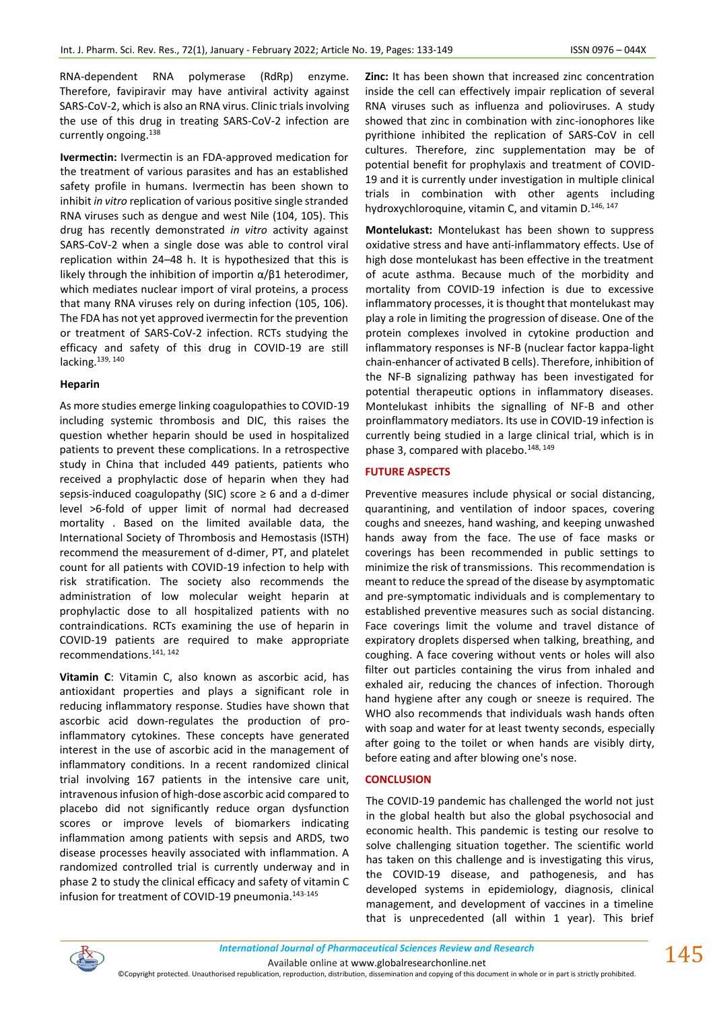RNA-dependent RNA polymerase (RdRp) enzyme. Therefore, favipiravir may have antiviral activity against SARS-CoV-2, which is also an RNA virus. Clinic trials involving the use of this drug in treating SARS-CoV-2 infection are currently ongoing.<sup>138</sup>

**Ivermectin:** Ivermectin is an FDA-approved medication for the treatment of various parasites and has an established safety profile in humans. Ivermectin has been shown to inhibit *in vitro* replication of various positive single stranded RNA viruses such as dengue and west Nile (104, 105). This drug has recently demonstrated *in vitro* activity against SARS-CoV-2 when a single dose was able to control viral replication within 24–48 h. It is hypothesized that this is likely through the inhibition of importin α/β1 heterodimer, which mediates nuclear import of viral proteins, a process that many RNA viruses rely on during infection (105, 106). The FDA has not yet approved ivermectin for the prevention or treatment of SARS-CoV-2 infection. RCTs studying the efficacy and safety of this drug in COVID-19 are still lacking.<sup>139, 140</sup>

#### **Heparin**

As more studies emerge linking coagulopathies to COVID-19 including systemic thrombosis and DIC, this raises the question whether heparin should be used in hospitalized patients to prevent these complications. In a retrospective study in China that included 449 patients, patients who received a prophylactic dose of heparin when they had sepsis-induced coagulopathy (SIC) score  $\geq 6$  and a d-dimer level >6-fold of upper limit of normal had decreased mortality . Based on the limited available data, the International Society of Thrombosis and Hemostasis (ISTH) recommend the measurement of d-dimer, PT, and platelet count for all patients with COVID-19 infection to help with risk stratification. The society also recommends the administration of low molecular weight heparin at prophylactic dose to all hospitalized patients with no contraindications. RCTs examining the use of heparin in COVID-19 patients are required to make appropriate recommendations.141, 142

**Vitamin C**: Vitamin C, also known as ascorbic acid, has antioxidant properties and plays a significant role in reducing inflammatory response. Studies have shown that ascorbic acid down-regulates the production of proinflammatory cytokines. These concepts have generated interest in the use of ascorbic acid in the management of inflammatory conditions. In a recent randomized clinical trial involving 167 patients in the intensive care unit, intravenous infusion of high-dose ascorbic acid compared to placebo did not significantly reduce organ dysfunction scores or improve levels of biomarkers indicating inflammation among patients with sepsis and ARDS, two disease processes heavily associated with inflammation. A randomized controlled trial is currently underway and in phase 2 to study the clinical efficacy and safety of vitamin C infusion for treatment of COVID-19 pneumonia.<sup>143-145</sup>

**Zinc:** It has been shown that increased zinc concentration inside the cell can effectively impair replication of several RNA viruses such as influenza and polioviruses. A study showed that zinc in combination with zinc-ionophores like pyrithione inhibited the replication of SARS-CoV in cell cultures. Therefore, zinc supplementation may be of potential benefit for prophylaxis and treatment of COVID-19 and it is currently under investigation in multiple clinical trials in combination with other agents including hydroxychloroquine, vitamin C, and vitamin D.146, 147

**Montelukast:** Montelukast has been shown to suppress oxidative stress and have anti-inflammatory effects. Use of high dose montelukast has been effective in the treatment of acute asthma. Because much of the morbidity and mortality from COVID-19 infection is due to excessive inflammatory processes, it is thought that montelukast may play a role in limiting the progression of disease. One of the protein complexes involved in cytokine production and inflammatory responses is NF-B (nuclear factor kappa-light chain-enhancer of activated B cells). Therefore, inhibition of the NF-B signalizing pathway has been investigated for potential therapeutic options in inflammatory diseases. Montelukast inhibits the signalling of NF-B and other proinflammatory mediators. Its use in COVID-19 infection is currently being studied in a large clinical trial, which is in phase 3, compared with placebo.<sup>148, 149</sup>

## **FUTURE ASPECTS**

Preventive measures include physical or social distancing, quarantining, and ventilation of indoor spaces, covering coughs and sneezes, hand washing, and keeping unwashed hands away from the face. The use of face masks or coverings has been recommended in public settings to minimize the risk of transmissions. This recommendation is meant to reduce the spread of the disease by asymptomatic and pre-symptomatic individuals and is complementary to established preventive measures such as social distancing. Face coverings limit the volume and travel distance of expiratory droplets dispersed when talking, breathing, and coughing. A face covering without vents or holes will also filter out particles containing the virus from inhaled and exhaled air, reducing the chances of infection. Thorough hand hygiene after any cough or sneeze is required. The WHO also recommends that individuals wash hands often with soap and water for at least twenty seconds, especially after going to the toilet or when hands are visibly dirty, before eating and after blowing one's nose.

## **CONCLUSION**

The COVID-19 pandemic has challenged the world not just in the global health but also the global psychosocial and economic health. This pandemic is testing our resolve to solve challenging situation together. The scientific world has taken on this challenge and is investigating this virus, the COVID-19 disease, and pathogenesis, and has developed systems in epidemiology, diagnosis, clinical management, and development of vaccines in a timeline that is unprecedented (all within 1 year). This brief

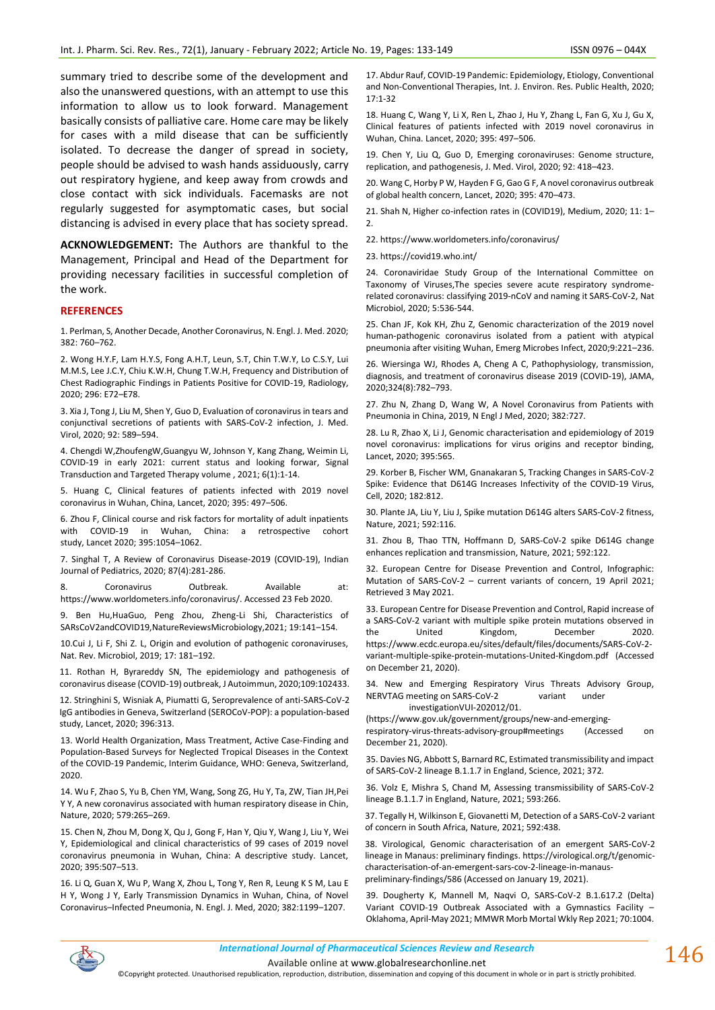summary tried to describe some of the development and also the unanswered questions, with an attempt to use this information to allow us to look forward. Management basically consists of palliative care. Home care may be likely for cases with a mild disease that can be sufficiently isolated. To decrease the danger of spread in society, people should be advised to wash hands assiduously, carry out respiratory hygiene, and keep away from crowds and close contact with sick individuals. Facemasks are not regularly suggested for asymptomatic cases, but social distancing is advised in every place that has society spread.

**ACKNOWLEDGEMENT:** The Authors are thankful to the Management, Principal and Head of the Department for providing necessary facilities in successful completion of the work.

#### **REFERENCES**

1. Perlman, S, Another Decade, Another Coronavirus, N. Engl. J. Med. 2020; 382: 760–762.

2. Wong H.Y.F, Lam H.Y.S, Fong A.H.T, Leun, S.T, Chin T.W.Y, Lo C.S.Y, Lui M.M.S, Lee J.C.Y, Chiu K.W.H, Chung T.W.H, Frequency and Distribution of Chest Radiographic Findings in Patients Positive for COVID-19, Radiology, 2020; 296: E72–E78.

3. Xia J, Tong J, Liu M, Shen Y, Guo D, Evaluation of coronavirus in tears and conjunctival secretions of patients with SARS-CoV-2 infection, J. Med. Virol, 2020; 92: 589–594.

4. [Chengdi](https://www.nature.com/articles/s41392-021-00527-1#auth-Chengdi-Wang) [W,ZhoufengW](https://www.nature.com/articles/s41392-021-00527-1#auth-Zhoufeng-Wang)[,Guangyu W,](https://www.nature.com/articles/s41392-021-00527-1#auth-Guangyu-Wang) [Johnson Y,](https://www.nature.com/articles/s41392-021-00527-1#auth-Johnson_Yiu_Nam-Lau) [Kang Zhang,](https://www.nature.com/articles/s41392-021-00527-1#auth-Kang-Zhang) [Weimin Li,](https://www.nature.com/articles/s41392-021-00527-1#auth-Weimin-Li)  COVID-19 in early 2021: current status and looking forwar, [Signal](https://www.nature.com/sigtrans)  [Transduction and Targeted Therapy](https://www.nature.com/sigtrans) volume , 2021; 6(1):1-14.

5. Huang C, Clinical features of patients infected with 2019 novel coronavirus in Wuhan, China, Lancet, 2020; 395: 497–506.

6. Zhou F, Clinical course and risk factors for mortality of adult inpatients with COVID-19 in Wuhan, China: a retrospective cohort study, Lancet 2020; 395:1054–1062.

7. Singhal T, A Review of Coronavirus Disease-2019 (COVID-19), Indian Journal of Pediatrics, 2020; 87(4):281-286.

8. Coronavirus Outbreak. Available at: https://www.worldometers.info/coronavirus/. Accessed 23 Feb 2020.

9. Ben Hu,HuaGuo, Peng Zhou, Zheng-Li Shi, Characteristics of SARsCoV2andCOVID19,NatureReviewsMicrobiology,2021; 19:141–154.

10.Cui J, Li F, Shi Z. L, Origin and evolution of pathogenic coronaviruses, Nat. Rev. Microbiol, 2019; 17: 181–192.

11. Rothan H, Byrareddy SN, The epidemiology and pathogenesis of coronavirus disease (COVID-19) outbreak, J Autoimmun, 2020;109:102433.

12. Stringhini S, Wisniak A, Piumatti G, Seroprevalence of anti-SARS-CoV-2 IgG antibodies in Geneva, Switzerland (SEROCoV-POP): a population-based study, Lancet, 2020; 396:313.

13. World Health Organization, Mass Treatment, Active Case-Finding and Population-Based Surveys for Neglected Tropical Diseases in the Context of the COVID-19 Pandemic, Interim Guidance, WHO: Geneva, Switzerland, 2020.

14. Wu F, Zhao S, Yu B, Chen YM, Wang, Song ZG, Hu Y, Ta, ZW, Tian JH,Pei Y Y, A new coronavirus associated with human respiratory disease in Chin, Nature, 2020; 579:265–269.

15. Chen N, Zhou M, Dong X, Qu J, Gong F, Han Y, Qiu Y, Wang J, Liu Y, Wei Y, Epidemiological and clinical characteristics of 99 cases of 2019 novel coronavirus pneumonia in Wuhan, China: A descriptive study. Lancet, 2020; 395:507–513.

16. Li Q, Guan X, Wu P, Wang X, Zhou L, Tong Y, Ren R, Leung K S M, Lau E H Y, Wong J Y, Early Transmission Dynamics in Wuhan, China, of Novel Coronavirus–Infected Pneumonia, N. Engl. J. Med, 2020; 382:1199–1207.

17. Abdur Rauf, COVID-19 Pandemic: Epidemiology, Etiology, Conventional and Non-Conventional Therapies, Int. J. Environ. Res. Public Health, 2020; 17:1-32

18. Huang C, Wang Y, Li X, Ren L, Zhao J, Hu Y, Zhang L, Fan G, Xu J, Gu X, Clinical features of patients infected with 2019 novel coronavirus in Wuhan, China. Lancet, 2020; 395: 497–506.

19. Chen Y, Liu Q, Guo D, Emerging coronaviruses: Genome structure, replication, and pathogenesis, J. Med. Virol, 2020; 92: 418–423.

20. Wang C, Horby P W, Hayden F G, Gao G F, A novel coronavirus outbreak of global health concern, Lancet, 2020; 395: 470–473.

21. Shah N, Higher co-infection rates in (COVID19), Medium, 2020; 11: 1– 2.

22[. https://www.worldometers.info/coronavirus/](https://www.worldometers.info/coronavirus/)

23[. https://covid19.who.int/](https://covid19.who.int/)

24. Coronaviridae Study Group of the International Committee on Taxonomy of Viruses,The species severe acute respiratory syndromerelated coronavirus: classifying 2019-nCoV and naming it SARS-CoV-2, Nat Microbiol, 2020; 5:536-544.

25. Chan JF, Kok KH, Zhu Z, Genomic characterization of the 2019 novel human-pathogenic coronavirus isolated from a patient with atypical pneumonia after visiting Wuhan, Emerg Microbes Infect, 2020;9:221–236.

26. Wiersinga WJ, Rhodes A, Cheng A C, Pathophysiology, transmission, diagnosis, and treatment of coronavirus disease 2019 (COVID-19), JAMA, 2020;324(8):782–793.

27. Zhu N, Zhang D, Wang W, A Novel Coronavirus from Patients with Pneumonia in China, 2019, N Engl J Med, 2020; 382:727.

28. Lu R, Zhao X, Li J, Genomic characterisation and epidemiology of 2019 novel coronavirus: implications for virus origins and receptor binding, Lancet, 2020; 395:565.

29. Korber B, Fischer WM, Gnanakaran S, Tracking Changes in SARS-CoV-2 Spike: Evidence that D614G Increases Infectivity of the COVID-19 Virus, Cell, 2020; 182:812.

30. Plante JA, Liu Y, Liu J, Spike mutation D614G alters SARS-CoV-2 fitness, Nature, 2021; 592:116.

31. Zhou B, Thao TTN, Hoffmann D, SARS-CoV-2 spike D614G change enhances replication and transmission, Nature, 2021; 592:122.

32. European Centre for Disease Prevention and Control, [Infographic:](https://www.ecdc.europa.eu/en/publications-data/covid-19-infographic-mutations-current-variants-concern)  Mutation of SARS-CoV-2 – [current variants of concern,](https://www.ecdc.europa.eu/en/publications-data/covid-19-infographic-mutations-current-variants-concern) 19 April 2021; Retrieved 3 May 2021.

33. European Centre for Disease Prevention and Control, Rapid increase of a SARS-CoV-2 variant with multiple spike protein mutations observed in the United Kingdom, December 2020. [https://www.ecdc.europa.eu/sites/default/files/documents/SARS-CoV-2](https://www.ecdc.europa.eu/sites/default/files/documents/SARS-CoV-2-variant-multiple-spike-protein-mutations-United-Kingdom.pdf) [variant-multiple-spike-protein-mutations-United-Kingdom.pdf](https://www.ecdc.europa.eu/sites/default/files/documents/SARS-CoV-2-variant-multiple-spike-protein-mutations-United-Kingdom.pdf) (Accessed on December 21, 2020).

34. New and Emerging Respiratory Virus Threats Advisory Group, NERVTAG meeting on SARS-CoV-2 variant under investigationVUI-202012/01.

[\(https://www.gov.uk/government/groups/new-and-emerging-](https://www.gov.uk/government/groups/new-and-emerging-respiratory-virus-threats-advisory-group#meetings)

[respiratory-virus-threats-advisory-group#meetings](https://www.gov.uk/government/groups/new-and-emerging-respiratory-virus-threats-advisory-group#meetings) (Accessed on December 21, 2020).

35. Davies NG, Abbott S, Barnard RC, Estimated transmissibility and impact of SARS-CoV-2 lineage B.1.1.7 in England, Science, 2021; 372.

36. Volz E, Mishra S, Chand M, Assessing transmissibility of SARS-CoV-2 lineage B.1.1.7 in England, Nature, 2021; 593:266.

37. Tegally H, Wilkinson E, Giovanetti M, Detection of a SARS-CoV-2 variant of concern in South Africa, Nature, 2021; 592:438.

38. Virological, Genomic characterisation of an emergent SARS-CoV-2 lineage in Manaus: preliminary findings[. https://virological.org/t/genomic](https://virological.org/t/genomic-characterisation-of-an-emergent-sars-cov-2-lineage-in-manaus-preliminary-findings/586)[characterisation-of-an-emergent-sars-cov-2-lineage-in-manaus](https://virological.org/t/genomic-characterisation-of-an-emergent-sars-cov-2-lineage-in-manaus-preliminary-findings/586)[preliminary-findings/586](https://virological.org/t/genomic-characterisation-of-an-emergent-sars-cov-2-lineage-in-manaus-preliminary-findings/586) (Accessed on January 19, 2021).

39. Dougherty K, Mannell M, Naqvi O, SARS-CoV-2 B.1.617.2 (Delta) Variant COVID-19 Outbreak Associated with a Gymnastics Facility – Oklahoma, April-May 2021; MMWR Morb Mortal Wkly Rep 2021; 70:1004.

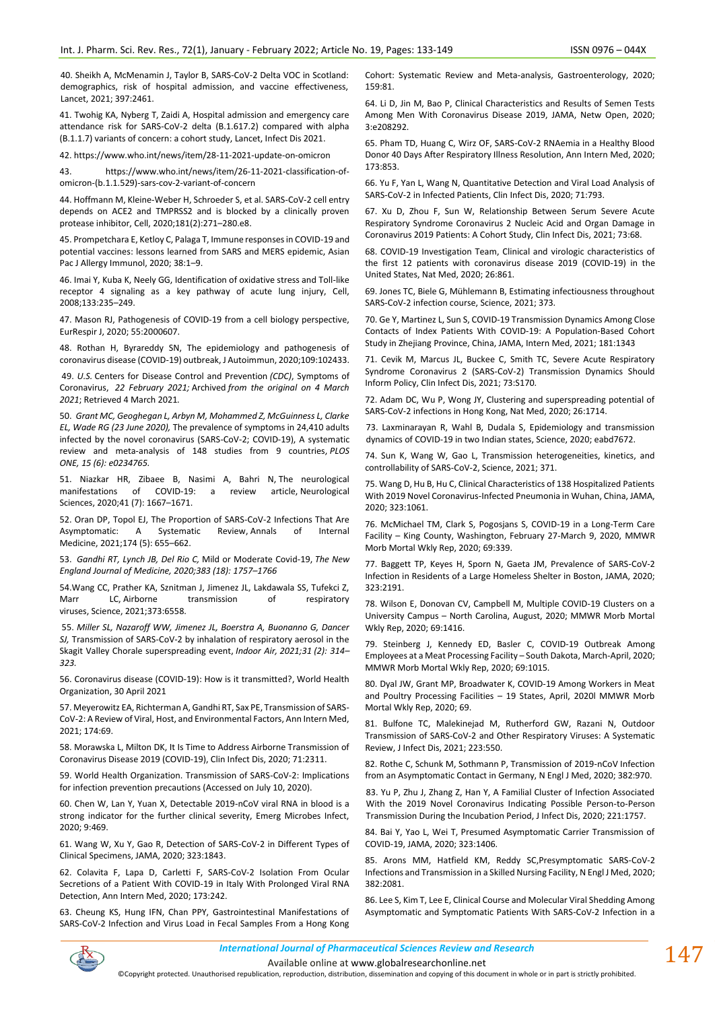40. Sheikh A, McMenamin J, Taylor B, SARS-CoV-2 Delta VOC in Scotland: demographics, risk of hospital admission, and vaccine effectiveness, Lancet, 2021; 397:2461.

41. Twohig KA, Nyberg T, Zaidi A, Hospital admission and emergency care attendance risk for SARS-CoV-2 delta (B.1.617.2) compared with alpha (B.1.1.7) variants of concern: a cohort study, Lancet, Infect Dis 2021.

42[. https://www.who.int/news/item/28-11-2021-update-on-omicron](https://www.who.int/news/item/28-11-2021-update-on-omicron)

43. [https://www.who.int/news/item/26-11-2021-classification-of](https://www.who.int/news/item/26-11-2021-classification-of-omicron-(b.1.1.529)-sars-cov-2-variant-of-concern)[omicron-\(b.1.1.529\)-sars-cov-2-variant-of-concern](https://www.who.int/news/item/26-11-2021-classification-of-omicron-(b.1.1.529)-sars-cov-2-variant-of-concern)

44. Hoffmann M, Kleine-Weber H, Schroeder S, et al. SARS-CoV-2 cell entry depends on ACE2 and TMPRSS2 and is blocked by a clinically proven protease inhibitor, Cell, 2020;181(2):271–280.e8.

45. Prompetchara E, Ketloy C, Palaga T, Immune responses in COVID-19 and potential vaccines: lessons learned from SARS and MERS epidemic, Asian Pac J Allergy Immunol, 2020; 38:1–9.

46. Imai Y, Kuba K, Neely GG, Identification of oxidative stress and Toll-like receptor 4 signaling as a key pathway of acute lung injury, Cell, 2008;133:235–249.

47. Mason RJ, Pathogenesis of COVID-19 from a cell biology perspective, EurRespir J, 2020; 55:2000607.

48. Rothan H, Byrareddy SN, The epidemiology and pathogenesis of coronavirus disease (COVID-19) outbreak, J Autoimmun, 2020;109:102433.

49. *U.S.* [Centers for Disease Control and Prevention](https://en.wikipedia.org/wiki/Centers_for_Disease_Control_and_Prevention) *(CDC)*[, Symptoms of](https://www.cdc.gov/coronavirus/2019-ncov/symptoms-testing/symptoms.html)  [Coronavirus,](https://www.cdc.gov/coronavirus/2019-ncov/symptoms-testing/symptoms.html) *22 February 2021;* [Archived](https://web.archive.org/web/20210304195413/https:/www.cdc.gov/coronavirus/2019-ncov/symptoms-testing/symptoms.html) *from the original on 4 March 2021*; Retrieved 4 March 2021*.*

50. *Grant MC, Geoghegan L, Arbyn M, Mohammed Z, McGuinness L, Clarke EL, Wade RG (23 June 2020),* [The prevalence of symptoms in 24,410 adults](https://www.ncbi.nlm.nih.gov/pmc/articles/PMC7310678)  [infected by the novel coronavirus \(SARS-CoV-2; COVID-19\), A systematic](https://www.ncbi.nlm.nih.gov/pmc/articles/PMC7310678)  [review and meta-analysis of 148 studies from 9 countries,](https://www.ncbi.nlm.nih.gov/pmc/articles/PMC7310678) *PLOS ONE, 15 (6): e0234765.*

51. Niazkar HR, Zibaee B, Nasimi A, Bahri N, [The neurological](https://www.ncbi.nlm.nih.gov/pmc/articles/PMC7262683)  manifestations of [COVID-19: a review article,](https://www.ncbi.nlm.nih.gov/pmc/articles/PMC7262683) Neurological Sciences, 2020;41 (7): 1667–1671.

52. Oran DP, Topol EJ, The Proportion of SARS-CoV-2 Infections That Are<br>Asymptomatic: A Systematic Review, Annals of Internal [Asymptomatic: A Systematic Review,](https://www.ncbi.nlm.nih.gov/pmc/articles/PMC7839426) Annals of Internal Medicine, 2021;174 (5): 655–662.

53. *Gandhi RT, Lynch JB, Del Rio C,* [Mild or Moderate Covid-19,](https://doi.org/10.1056%2FNEJMcp2009249) *The New England Journal of Medicine, 2020;383 (18): 1757–1766*

54.Wang CC, Prather KA, Sznitman J, Jimenez JL, Lakdawala SS, Tufekci Z, Marr LC, Airborne transmission of respiratory [viruses,](https://doi.org/10.1126%2Fscience.abd9149) Science, 2021;373:6558.

55. *Miller SL, Nazaroff WW, Jimenez JL, Boerstra A, Buonanno G, Dancer SJ,* [Transmission of SARS-CoV-2 by inhalation of respiratory aerosol in the](https://www.ncbi.nlm.nih.gov/pmc/articles/PMC7537089)  [Skagit Valley Chorale superspreading event,](https://www.ncbi.nlm.nih.gov/pmc/articles/PMC7537089) *Indoor Air, 2021;31 (2): 314– 323.*

56. [Coronavirus disease \(COVID-19\): How is it transmitted?,](https://www.who.int/news-room/q-a-detail/coronavirus-disease-covid-19-how-is-it-transmitted) [World Health](https://en.wikipedia.org/wiki/World_Health_Organization)  [Organization,](https://en.wikipedia.org/wiki/World_Health_Organization) 30 April 2021

57. Meyerowitz EA, Richterman A, Gandhi RT, Sax PE, Transmission of SARS-CoV-2: A Review of Viral, Host, and Environmental Factors, Ann Intern Med, 2021; 174:69.

58. Morawska L, Milton DK, It Is Time to Address Airborne Transmission of Coronavirus Disease 2019 (COVID-19), Clin Infect Dis, 2020; 71:2311.

59. World Health Organization. Transmission of SARS-CoV-2: Implications for infection prevention precautions (Accessed on July 10, 2020).

60. Chen W, Lan Y, Yuan X, Detectable 2019-nCoV viral RNA in blood is a strong indicator for the further clinical severity, Emerg Microbes Infect, 2020; 9:469.

61. Wang W, Xu Y, Gao R, Detection of SARS-CoV-2 in Different Types of Clinical Specimens, JAMA, 2020; 323:1843.

62. Colavita F, Lapa D, Carletti F, SARS-CoV-2 Isolation From Ocular Secretions of a Patient With COVID-19 in Italy With Prolonged Viral RNA Detection, Ann Intern Med, 2020; 173:242.

63. Cheung KS, Hung IFN, Chan PPY, Gastrointestinal Manifestations of SARS-CoV-2 Infection and Virus Load in Fecal Samples From a Hong Kong

Cohort: Systematic Review and Meta-analysis, Gastroenterology, 2020; 159:81.

64. Li D, Jin M, Bao P, Clinical Characteristics and Results of Semen Tests Among Men With Coronavirus Disease 2019, JAMA, Netw Open, 2020; 3:e208292.

65. Pham TD, Huang C, Wirz OF, SARS-CoV-2 RNAemia in a Healthy Blood Donor 40 Days After Respiratory Illness Resolution, Ann Intern Med, 2020; 173:853.

66. Yu F, Yan L, Wang N, Quantitative Detection and Viral Load Analysis of SARS-CoV-2 in Infected Patients, Clin Infect Dis, 2020; 71:793.

67. Xu D, Zhou F, Sun W, Relationship Between Serum Severe Acute Respiratory Syndrome Coronavirus 2 Nucleic Acid and Organ Damage in Coronavirus 2019 Patients: A Cohort Study, Clin Infect Dis, 2021; 73:68.

68. COVID-19 Investigation Team, Clinical and virologic characteristics of the first 12 patients with coronavirus disease 2019 (COVID-19) in the United States, Nat Med, 2020; 26:861.

69. Jones TC, Biele G, Mühlemann B, Estimating infectiousness throughout SARS-CoV-2 infection course, Science, 2021; 373.

70. Ge Y, Martinez L, Sun S, COVID-19 Transmission Dynamics Among Close Contacts of Index Patients With COVID-19: A Population-Based Cohort Study in Zhejiang Province, China, JAMA, Intern Med, 2021; 181:1343

71. Cevik M, Marcus JL, Buckee C, Smith TC, Severe Acute Respiratory Syndrome Coronavirus 2 (SARS-CoV-2) Transmission Dynamics Should Inform Policy, Clin Infect Dis, 2021; 73:S170.

72. Adam DC, Wu P, Wong JY, Clustering and superspreading potential of SARS-CoV-2 infections in Hong Kong, Nat Med, 2020; 26:1714.

73. Laxminarayan R, Wahl B, Dudala S, Epidemiology and transmission dynamics of COVID-19 in two Indian states, Science, 2020; eabd7672.

74. Sun K, Wang W, Gao L, Transmission heterogeneities, kinetics, and controllability of SARS-CoV-2, Science, 2021; 371.

75. Wang D, Hu B, Hu C, Clinical Characteristics of 138 Hospitalized Patients With 2019 Novel Coronavirus-Infected Pneumonia in Wuhan, China, JAMA, 2020; 323:1061.

76. McMichael TM, Clark S, Pogosjans S, COVID-19 in a Long-Term Care Facility – King County, Washington, February 27-March 9, 2020, MMWR Morb Mortal Wkly Rep, 2020; 69:339.

77. Baggett TP, Keyes H, Sporn N, Gaeta JM, Prevalence of SARS-CoV-2 Infection in Residents of a Large Homeless Shelter in Boston, JAMA, 2020; 323:2191.

78. Wilson E, Donovan CV, Campbell M, Multiple COVID-19 Clusters on a University Campus – North Carolina, August, 2020; MMWR Morb Mortal Wkly Rep, 2020; 69:1416.

79. Steinberg J, Kennedy ED, Basler C, COVID-19 Outbreak Among Employees at a Meat Processing Facility – South Dakota, March-April, 2020; MMWR Morb Mortal Wkly Rep, 2020; 69:1015.

80. Dyal JW, Grant MP, Broadwater K, COVID-19 Among Workers in Meat and Poultry Processing Facilities – 19 States, April, 2020l MMWR Morb Mortal Wkly Rep, 2020; 69.

81. Bulfone TC, Malekinejad M, Rutherford GW, Razani N, Outdoor Transmission of SARS-CoV-2 and Other Respiratory Viruses: A Systematic Review, J Infect Dis, 2021; 223:550.

82. Rothe C, Schunk M, Sothmann P, Transmission of 2019-nCoV Infection from an Asymptomatic Contact in Germany, N Engl J Med, 2020; 382:970.

83. Yu P, Zhu J, Zhang Z, Han Y, A Familial Cluster of Infection Associated With the 2019 Novel Coronavirus Indicating Possible Person-to-Person Transmission During the Incubation Period, J Infect Dis, 2020; 221:1757.

84. Bai Y, Yao L, Wei T, Presumed Asymptomatic Carrier Transmission of COVID-19, JAMA, 2020; 323:1406.

85. Arons MM, Hatfield KM, Reddy SC,Presymptomatic SARS-CoV-2 Infections and Transmission in a Skilled Nursing Facility, N Engl J Med, 2020; 382:2081.

86. Lee S, Kim T, Lee E, Clinical Course and Molecular Viral Shedding Among Asymptomatic and Symptomatic Patients With SARS-CoV-2 Infection in a



*International Journal of Pharmaceutical Sciences Review and Research International Journal of Pharmaceutical Sciences Review and Research*

Available online a[t www.globalresearchonline.net](http://www.globalresearchonline.net/)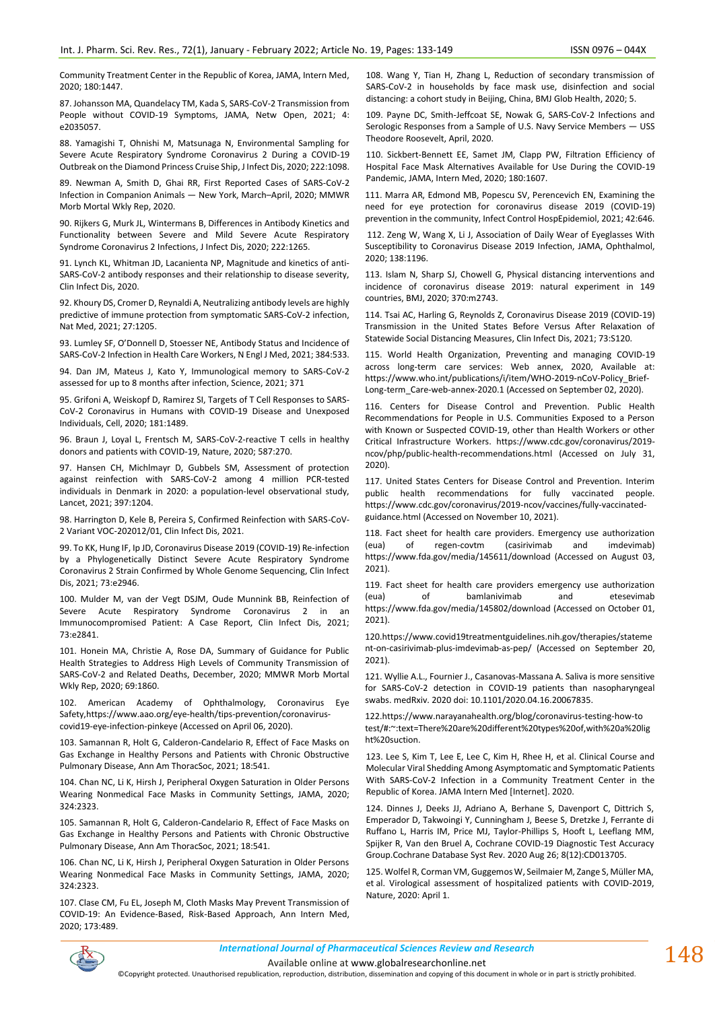Community Treatment Center in the Republic of Korea, JAMA, Intern Med, 2020; 180:1447.

87. Johansson MA, Quandelacy TM, Kada S, SARS-CoV-2 Transmission from People without COVID-19 Symptoms, JAMA, Netw Open, 2021; 4: e2035057.

88. Yamagishi T, Ohnishi M, Matsunaga N, Environmental Sampling for Severe Acute Respiratory Syndrome Coronavirus 2 During a COVID-19 Outbreak on the Diamond Princess Cruise Ship, J Infect Dis, 2020; 222:1098.

89. Newman A, Smith D, Ghai RR, First Reported Cases of SARS-CoV-2 Infection in Companion Animals — New York, March–April, 2020; MMWR Morb Mortal Wkly Rep, 2020.

90. Rijkers G, Murk JL, Wintermans B, Differences in Antibody Kinetics and Functionality between Severe and Mild Severe Acute Respiratory Syndrome Coronavirus 2 Infections, J Infect Dis, 2020; 222:1265.

91. Lynch KL, Whitman JD, Lacanienta NP, Magnitude and kinetics of anti-SARS-CoV-2 antibody responses and their relationship to disease severity, Clin Infect Dis, 2020.

92. Khoury DS, Cromer D, Reynaldi A, Neutralizing antibody levels are highly predictive of immune protection from symptomatic SARS-CoV-2 infection, Nat Med, 2021; 27:1205.

93. Lumley SF, O'Donnell D, Stoesser NE, Antibody Status and Incidence of SARS-CoV-2 Infection in Health Care Workers, N Engl J Med, 2021; 384:533.

94. Dan JM, Mateus J, Kato Y, Immunological memory to SARS-CoV-2 assessed for up to 8 months after infection, Science, 2021; 371

95. Grifoni A, Weiskopf D, Ramirez SI, Targets of T Cell Responses to SARS-CoV-2 Coronavirus in Humans with COVID-19 Disease and Unexposed Individuals, Cell, 2020; 181:1489.

96. Braun J, Loyal L, Frentsch M, SARS-CoV-2-reactive T cells in healthy donors and patients with COVID-19, Nature, 2020; 587:270.

97. Hansen CH, Michlmayr D, Gubbels SM, Assessment of protection against reinfection with SARS-CoV-2 among 4 million PCR-tested individuals in Denmark in 2020: a population-level observational study, Lancet, 2021; 397:1204.

98. Harrington D, Kele B, Pereira S, Confirmed Reinfection with SARS-CoV-2 Variant VOC-202012/01, Clin Infect Dis, 2021.

99. To KK, Hung IF, Ip JD, Coronavirus Disease 2019 (COVID-19) Re-infection by a Phylogenetically Distinct Severe Acute Respiratory Syndrome Coronavirus 2 Strain Confirmed by Whole Genome Sequencing, Clin Infect Dis, 2021; 73:e2946.

100. Mulder M, van der Vegt DSJM, Oude Munnink BB, Reinfection of Severe Acute Respiratory Syndrome Coronavirus 2 in an Immunocompromised Patient: A Case Report, Clin Infect Dis, 2021; 73:e2841.

101. Honein MA, Christie A, Rose DA, Summary of Guidance for Public Health Strategies to Address High Levels of Community Transmission of SARS-CoV-2 and Related Deaths, December, 2020; MMWR Morb Mortal Wkly Rep, 2020; 69:1860.

102. American Academy of Ophthalmology, Coronavirus Eye Safety[,https://www.aao.org/eye-health/tips-prevention/coronavirus](https://www.aao.org/eye-health/tips-prevention/coronavirus-covid19-eye-infection-pinkeye)[covid19-eye-infection-pinkeye](https://www.aao.org/eye-health/tips-prevention/coronavirus-covid19-eye-infection-pinkeye) (Accessed on April 06, 2020).

103. Samannan R, Holt G, Calderon-Candelario R, Effect of Face Masks on Gas Exchange in Healthy Persons and Patients with Chronic Obstructive Pulmonary Disease, Ann Am ThoracSoc, 2021; 18:541.

104. Chan NC, Li K, Hirsh J, Peripheral Oxygen Saturation in Older Persons Wearing Nonmedical Face Masks in Community Settings, JAMA, 2020; 324:2323.

105. Samannan R, Holt G, Calderon-Candelario R, Effect of Face Masks on Gas Exchange in Healthy Persons and Patients with Chronic Obstructive Pulmonary Disease, Ann Am ThoracSoc, 2021; 18:541.

106. Chan NC, Li K, Hirsh J, Peripheral Oxygen Saturation in Older Persons Wearing Nonmedical Face Masks in Community Settings, JAMA, 2020; 324:2323.

107. Clase CM, Fu EL, Joseph M, Cloth Masks May Prevent Transmission of COVID-19: An Evidence-Based, Risk-Based Approach, Ann Intern Med, 2020; 173:489.

108. Wang Y, Tian H, Zhang L, Reduction of secondary transmission of SARS-CoV-2 in households by face mask use, disinfection and social distancing: a cohort study in Beijing, China, BMJ Glob Health, 2020; 5.

109. Payne DC, Smith-Jeffcoat SE, Nowak G, SARS-CoV-2 Infections and Serologic Responses from a Sample of U.S. Navy Service Members — USS Theodore Roosevelt, April, 2020.

110. Sickbert-Bennett EE, Samet JM, Clapp PW, Filtration Efficiency of Hospital Face Mask Alternatives Available for Use During the COVID-19 Pandemic, JAMA, Intern Med, 2020; 180:1607.

111. Marra AR, Edmond MB, Popescu SV, Perencevich EN, Examining the need for eye protection for coronavirus disease 2019 (COVID-19) prevention in the community, Infect Control HospEpidemiol, 2021; 42:646.

112. Zeng W, Wang X, Li J, Association of Daily Wear of Eyeglasses With Susceptibility to Coronavirus Disease 2019 Infection, JAMA, Ophthalmol, 2020; 138:1196.

113. Islam N, Sharp SJ, Chowell G, Physical distancing interventions and incidence of coronavirus disease 2019: natural experiment in 149 countries, BMJ, 2020; 370:m2743.

114. Tsai AC, Harling G, Reynolds Z, Coronavirus Disease 2019 (COVID-19) Transmission in the United States Before Versus After Relaxation of Statewide Social Distancing Measures, Clin Infect Dis, 2021; 73:S120.

115. World Health Organization, Preventing and managing COVID-19 across long-term care services: Web annex, 2020, Available at: [https://www.who.int/publications/i/item/WHO-2019-nCoV-Policy\\_Brief-](https://www.who.int/publications/i/item/WHO-2019-nCoV-Policy_Brief-Long-term_Care-web-annex-2020.1)[Long-term\\_Care-web-annex-2020.1](https://www.who.int/publications/i/item/WHO-2019-nCoV-Policy_Brief-Long-term_Care-web-annex-2020.1) (Accessed on September 02, 2020).

116. Centers for Disease Control and Prevention. Public Health Recommendations for People in U.S. Communities Exposed to a Person with Known or Suspected COVID-19, other than Health Workers or other Critical Infrastructure Workers. [https://www.cdc.gov/coronavirus/2019](https://www.cdc.gov/coronavirus/2019-ncov/php/public-health-recommendations.html) [ncov/php/public-health-recommendations.html](https://www.cdc.gov/coronavirus/2019-ncov/php/public-health-recommendations.html) (Accessed on July 31, 2020).

117. United States Centers for Disease Control and Prevention. Interim public health recommendations for fully vaccinated people. [https://www.cdc.gov/coronavirus/2019-ncov/vaccines/fully-vaccinated](https://www.cdc.gov/coronavirus/2019-ncov/vaccines/fully-vaccinated-guidance.html)[guidance.html](https://www.cdc.gov/coronavirus/2019-ncov/vaccines/fully-vaccinated-guidance.html) (Accessed on November 10, 2021).

118. Fact sheet for health care providers. Emergency use authorization (eua) of regen-covtm (casirivimab and imdevimab) <https://www.fda.gov/media/145611/download> (Accessed on August 03, 2021).

119. Fact sheet for health care providers emergency use authorization (eua) of bamlanivimab and etesevimab <https://www.fda.gov/media/145802/download> (Accessed on October 01, 2021).

12[0.https://www.covid19treatmentguidelines.nih.gov/therapies/stateme](https://www.covid19treatmentguidelines.nih.gov/therapies/statement-on-casirivimab-plus-imdevimab-as-pep/) [nt-on-casirivimab-plus-imdevimab-as-pep/](https://www.covid19treatmentguidelines.nih.gov/therapies/statement-on-casirivimab-plus-imdevimab-as-pep/) (Accessed on September 20, 2021).

121. Wyllie A.L., Fournier J., Casanovas-Massana A. Saliva is more sensitive for SARS-CoV-2 detection in COVID-19 patients than nasopharyngeal swabs. medRxiv. 2020 doi: 10.1101/2020.04.16.20067835.

12[2.https://www.narayanahealth.org/blog/coronavirus-testing-how-to](https://www.narayanahealth.org/blog/coronavirus-testing-how-to%20test/#:~:text=There%20are%20different%20types%20of,with%20a%20light%20suction)  [test/#:~:text=There%20are%20different%20types%20of,with%20a%20lig](https://www.narayanahealth.org/blog/coronavirus-testing-how-to%20test/#:~:text=There%20are%20different%20types%20of,with%20a%20light%20suction) [ht%20suction.](https://www.narayanahealth.org/blog/coronavirus-testing-how-to%20test/#:~:text=There%20are%20different%20types%20of,with%20a%20light%20suction)

123. Lee S, Kim T, Lee E, Lee C, Kim H, Rhee H, et al. Clinical Course and Molecular Viral Shedding Among Asymptomatic and Symptomatic Patients With SARS-CoV-2 Infection in a Community Treatment Center in the Republic of Korea. JAMA Intern Med [Internet]. 2020.

124. Dinnes J, Deeks JJ, Adriano A, Berhane S, Davenport C, Dittrich S, Emperador D, Takwoingi Y, Cunningham J, Beese S, Dretzke J, Ferrante di Ruffano L, Harris IM, Price MJ, Taylor-Phillips S, Hooft L, Leeflang MM, Spijker R, Van den Bruel A, Cochrane COVID-19 Diagnostic Test Accuracy Group.Cochrane Database Syst Rev. 2020 Aug 26; 8(12):CD013705.

125. Wolfel R, Corman VM, Guggemos W, Seilmaier M, Zange S, Müller MA, et al. Virological assessment of hospitalized patients with COVID-2019, Nature, 2020: April 1.



*International Journal of Pharmaceutical Sciences Review and Research International Journal of Pharmaceutical Sciences Review and Research*

Available online a[t www.globalresearchonline.net](http://www.globalresearchonline.net/)